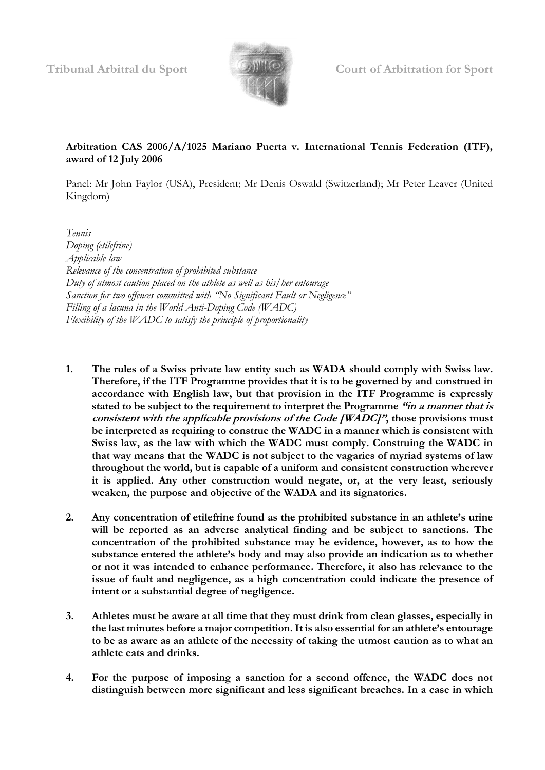

# **Arbitration CAS 2006/A/1025 Mariano Puerta v. International Tennis Federation (ITF), award of 12 July 2006**

Panel: Mr John Faylor (USA), President; Mr Denis Oswald (Switzerland); Mr Peter Leaver (United Kingdom)

- *Tennis Doping (etilefrine) Applicable law Relevance of the concentration of prohibited substance Duty of utmost caution placed on the athlete as well as his/her entourage Sanction for two offences committed with "No Significant Fault or Negligence" Filling of a lacuna in the World Anti-Doping Code (WADC) Flexibility of the WADC to satisfy the principle of proportionality*
- **1. The rules of a Swiss private law entity such as WADA should comply with Swiss law. Therefore, if the ITF Programme provides that it is to be governed by and construed in accordance with English law, but that provision in the ITF Programme is expressly stated to be subject to the requirement to interpret the Programme "in a manner that is consistent with the applicable provisions of the Code [WADC]", those provisions must be interpreted as requiring to construe the WADC in a manner which is consistent with Swiss law, as the law with which the WADC must comply. Construing the WADC in that way means that the WADC is not subject to the vagaries of myriad systems of law throughout the world, but is capable of a uniform and consistent construction wherever it is applied. Any other construction would negate, or, at the very least, seriously weaken, the purpose and objective of the WADA and its signatories.**
- **2. Any concentration of etilefrine found as the prohibited substance in an athlete's urine will be reported as an adverse analytical finding and be subject to sanctions. The concentration of the prohibited substance may be evidence, however, as to how the substance entered the athlete's body and may also provide an indication as to whether or not it was intended to enhance performance. Therefore, it also has relevance to the issue of fault and negligence, as a high concentration could indicate the presence of intent or a substantial degree of negligence.**
- **3. Athletes must be aware at all time that they must drink from clean glasses, especially in the last minutes before a major competition. It is also essential for an athlete's entourage to be as aware as an athlete of the necessity of taking the utmost caution as to what an athlete eats and drinks.**
- **4. For the purpose of imposing a sanction for a second offence, the WADC does not distinguish between more significant and less significant breaches. In a case in which**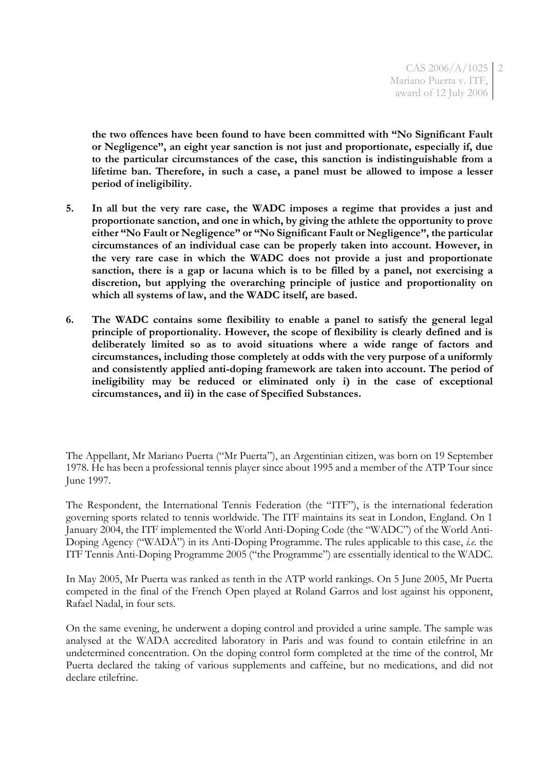**the two offences have been found to have been committed with "No Significant Fault or Negligence", an eight year sanction is not just and proportionate, especially if, due to the particular circumstances of the case, this sanction is indistinguishable from a lifetime ban. Therefore, in such a case, a panel must be allowed to impose a lesser period of ineligibility.**

- **5. In all but the very rare case, the WADC imposes a regime that provides a just and proportionate sanction, and one in which, by giving the athlete the opportunity to prove either "No Fault or Negligence" or "No Significant Fault or Negligence", the particular circumstances of an individual case can be properly taken into account. However, in the very rare case in which the WADC does not provide a just and proportionate sanction, there is a gap or lacuna which is to be filled by a panel, not exercising a discretion, but applying the overarching principle of justice and proportionality on which all systems of law, and the WADC itself, are based.**
- **6. The WADC contains some flexibility to enable a panel to satisfy the general legal principle of proportionality. However, the scope of flexibility is clearly defined and is deliberately limited so as to avoid situations where a wide range of factors and circumstances, including those completely at odds with the very purpose of a uniformly and consistently applied anti-doping framework are taken into account. The period of ineligibility may be reduced or eliminated only i) in the case of exceptional circumstances, and ii) in the case of Specified Substances.**

The Respondent, the International Tennis Federation (the "ITF"), is the international federation governing sports related to tennis worldwide. The ITF maintains its seat in London, England. On 1 January 2004, the ITF implemented the World Anti-Doping Code (the "WADC") of the World Anti-Doping Agency ("WADA") in its Anti-Doping Programme. The rules applicable to this case, *i.e.* the ITF Tennis Anti-Doping Programme 2005 ("the Programme") are essentially identical to the WADC.

In May 2005, Mr Puerta was ranked as tenth in the ATP world rankings. On 5 June 2005, Mr Puerta competed in the final of the French Open played at Roland Garros and lost against his opponent, Rafael Nadal, in four sets.

On the same evening, he underwent a doping control and provided a urine sample. The sample was analysed at the WADA accredited laboratory in Paris and was found to contain etilefrine in an undetermined concentration. On the doping control form completed at the time of the control, Mr Puerta declared the taking of various supplements and caffeine, but no medications, and did not declare etilefrine.

The Appellant, Mr Mariano Puerta ("Mr Puerta"), an Argentinian citizen, was born on 19 September 1978. He has been a professional tennis player since about 1995 and a member of the ATP Tour since June 1997.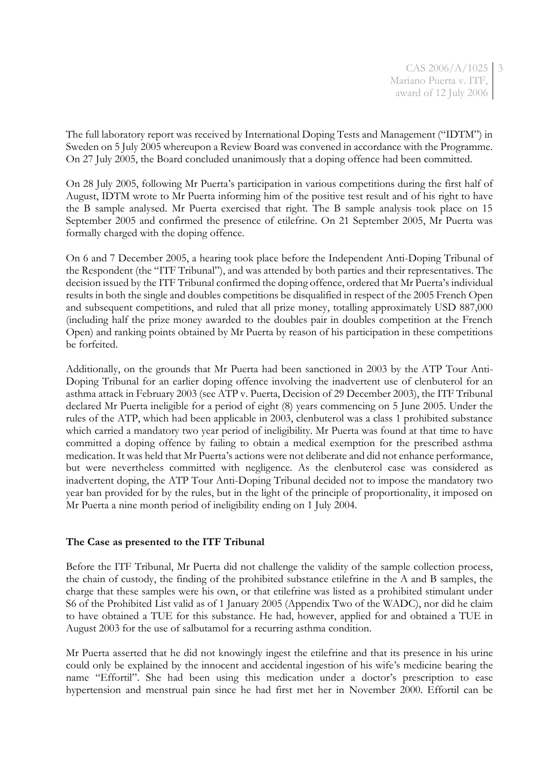CAS 2006/A/1025 3 Mariano Puerta v. ITF, award of 12 July 2006

The full laboratory report was received by International Doping Tests and Management ("IDTM") in Sweden on 5 July 2005 whereupon a Review Board was convened in accordance with the Programme. On 27 July 2005, the Board concluded unanimously that a doping offence had been committed.

On 28 July 2005, following Mr Puerta's participation in various competitions during the first half of August, IDTM wrote to Mr Puerta informing him of the positive test result and of his right to have the B sample analysed. Mr Puerta exercised that right. The B sample analysis took place on 15 September 2005 and confirmed the presence of etilefrine. On 21 September 2005, Mr Puerta was formally charged with the doping offence.

On 6 and 7 December 2005, a hearing took place before the Independent Anti-Doping Tribunal of the Respondent (the "ITF Tribunal"), and was attended by both parties and their representatives. The decision issued by the ITF Tribunal confirmed the doping offence, ordered that Mr Puerta's individual results in both the single and doubles competitions be disqualified in respect of the 2005 French Open and subsequent competitions, and ruled that all prize money, totalling approximately USD 887,000 (including half the prize money awarded to the doubles pair in doubles competition at the French Open) and ranking points obtained by Mr Puerta by reason of his participation in these competitions be forfeited.

Additionally, on the grounds that Mr Puerta had been sanctioned in 2003 by the ATP Tour Anti-Doping Tribunal for an earlier doping offence involving the inadvertent use of clenbuterol for an asthma attack in February 2003 (see ATP v. Puerta, Decision of 29 December 2003), the ITF Tribunal declared Mr Puerta ineligible for a period of eight (8) years commencing on 5 June 2005. Under the rules of the ATP, which had been applicable in 2003, clenbuterol was a class 1 prohibited substance which carried a mandatory two year period of ineligibility. Mr Puerta was found at that time to have committed a doping offence by failing to obtain a medical exemption for the prescribed asthma medication. It was held that Mr Puerta's actions were not deliberate and did not enhance performance, but were nevertheless committed with negligence. As the clenbuterol case was considered as inadvertent doping, the ATP Tour Anti-Doping Tribunal decided not to impose the mandatory two year ban provided for by the rules, but in the light of the principle of proportionality, it imposed on Mr Puerta a nine month period of ineligibility ending on 1 July 2004.

#### **The Case as presented to the ITF Tribunal**

Before the ITF Tribunal, Mr Puerta did not challenge the validity of the sample collection process, the chain of custody, the finding of the prohibited substance etilefrine in the A and B samples, the charge that these samples were his own, or that etilefrine was listed as a prohibited stimulant under S6 of the Prohibited List valid as of 1 January 2005 (Appendix Two of the WADC), nor did he claim to have obtained a TUE for this substance. He had, however, applied for and obtained a TUE in August 2003 for the use of salbutamol for a recurring asthma condition.

Mr Puerta asserted that he did not knowingly ingest the etilefrine and that its presence in his urine could only be explained by the innocent and accidental ingestion of his wife's medicine bearing the name "Effortil". She had been using this medication under a doctor's prescription to ease hypertension and menstrual pain since he had first met her in November 2000. Effortil can be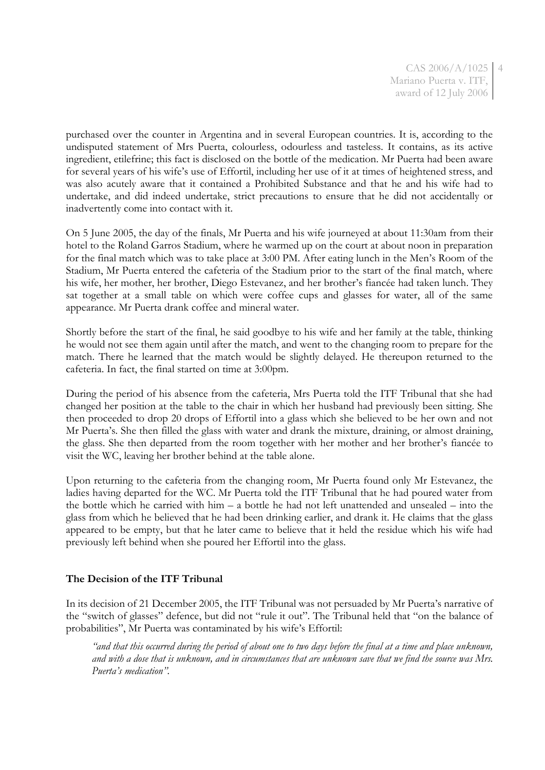CAS 2006/A/1025 4 Mariano Puerta v. ITF, award of 12 July 2006

purchased over the counter in Argentina and in several European countries. It is, according to the undisputed statement of Mrs Puerta, colourless, odourless and tasteless. It contains, as its active ingredient, etilefrine; this fact is disclosed on the bottle of the medication. Mr Puerta had been aware for several years of his wife's use of Effortil, including her use of it at times of heightened stress, and was also acutely aware that it contained a Prohibited Substance and that he and his wife had to undertake, and did indeed undertake, strict precautions to ensure that he did not accidentally or inadvertently come into contact with it.

On 5 June 2005, the day of the finals, Mr Puerta and his wife journeyed at about 11:30am from their hotel to the Roland Garros Stadium, where he warmed up on the court at about noon in preparation for the final match which was to take place at 3:00 PM. After eating lunch in the Men's Room of the Stadium, Mr Puerta entered the cafeteria of the Stadium prior to the start of the final match, where his wife, her mother, her brother, Diego Estevanez, and her brother's fiancée had taken lunch. They sat together at a small table on which were coffee cups and glasses for water, all of the same appearance. Mr Puerta drank coffee and mineral water.

Shortly before the start of the final, he said goodbye to his wife and her family at the table, thinking he would not see them again until after the match, and went to the changing room to prepare for the match. There he learned that the match would be slightly delayed. He thereupon returned to the cafeteria. In fact, the final started on time at 3:00pm.

During the period of his absence from the cafeteria, Mrs Puerta told the ITF Tribunal that she had changed her position at the table to the chair in which her husband had previously been sitting. She then proceeded to drop 20 drops of Effortil into a glass which she believed to be her own and not Mr Puerta's. She then filled the glass with water and drank the mixture, draining, or almost draining, the glass. She then departed from the room together with her mother and her brother's fiancée to visit the WC, leaving her brother behind at the table alone.

Upon returning to the cafeteria from the changing room, Mr Puerta found only Mr Estevanez, the ladies having departed for the WC. Mr Puerta told the ITF Tribunal that he had poured water from the bottle which he carried with him – a bottle he had not left unattended and unsealed – into the glass from which he believed that he had been drinking earlier, and drank it. He claims that the glass appeared to be empty, but that he later came to believe that it held the residue which his wife had previously left behind when she poured her Effortil into the glass.

# **The Decision of the ITF Tribunal**

In its decision of 21 December 2005, the ITF Tribunal was not persuaded by Mr Puerta's narrative of the "switch of glasses" defence, but did not "rule it out". The Tribunal held that "on the balance of probabilities", Mr Puerta was contaminated by his wife's Effortil:

*"and that this occurred during the period of about one to two days before the final at a time and place unknown, and with a dose that is unknown, and in circumstances that are unknown save that we find the source was Mrs. Puerta's medication".*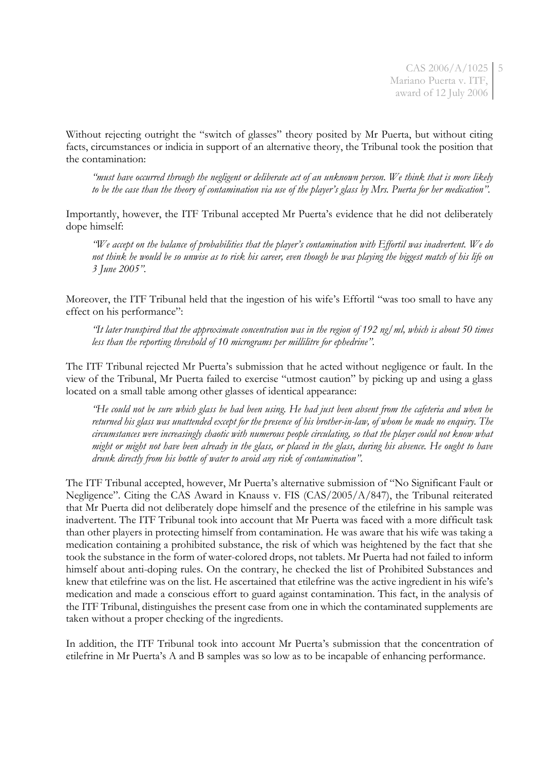Without rejecting outright the "switch of glasses" theory posited by Mr Puerta, but without citing facts, circumstances or indicia in support of an alternative theory, the Tribunal took the position that the contamination:

*"must have occurred through the negligent or deliberate act of an unknown person. We think that is more likely to be the case than the theory of contamination via use of the player's glass by Mrs. Puerta for her medication".*

Importantly, however, the ITF Tribunal accepted Mr Puerta's evidence that he did not deliberately dope himself:

*"We accept on the balance of probabilities that the player's contamination with Effortil was inadvertent. We do not think he would be so unwise as to risk his career, even though he was playing the biggest match of his life on 3 June 2005".*

Moreover, the ITF Tribunal held that the ingestion of his wife's Effortil "was too small to have any effect on his performance":

*"It later transpired that the approximate concentration was in the region of 192 ng/ml, which is about 50 times less than the reporting threshold of 10 micrograms per millilitre for ephedrine".*

The ITF Tribunal rejected Mr Puerta's submission that he acted without negligence or fault. In the view of the Tribunal, Mr Puerta failed to exercise "utmost caution" by picking up and using a glass located on a small table among other glasses of identical appearance:

*"He could not be sure which glass he had been using. He had just been absent from the cafeteria and when he returned his glass was unattended except for the presence of his brother-in-law, of whom he made no enquiry. The circumstances were increasingly chaotic with numerous people circulating, so that the player could not know what might or might not have been already in the glass, or placed in the glass, during his absence. He ought to have drunk directly from his bottle of water to avoid any risk of contamination".*

The ITF Tribunal accepted, however, Mr Puerta's alternative submission of "No Significant Fault or Negligence". Citing the CAS Award in Knauss v. FIS (CAS/2005/A/847), the Tribunal reiterated that Mr Puerta did not deliberately dope himself and the presence of the etilefrine in his sample was inadvertent. The ITF Tribunal took into account that Mr Puerta was faced with a more difficult task than other players in protecting himself from contamination. He was aware that his wife was taking a medication containing a prohibited substance, the risk of which was heightened by the fact that she took the substance in the form of water-colored drops, not tablets. Mr Puerta had not failed to inform himself about anti-doping rules. On the contrary, he checked the list of Prohibited Substances and knew that etilefrine was on the list. He ascertained that etilefrine was the active ingredient in his wife's medication and made a conscious effort to guard against contamination. This fact, in the analysis of the ITF Tribunal, distinguishes the present case from one in which the contaminated supplements are taken without a proper checking of the ingredients.

In addition, the ITF Tribunal took into account Mr Puerta's submission that the concentration of etilefrine in Mr Puerta's A and B samples was so low as to be incapable of enhancing performance.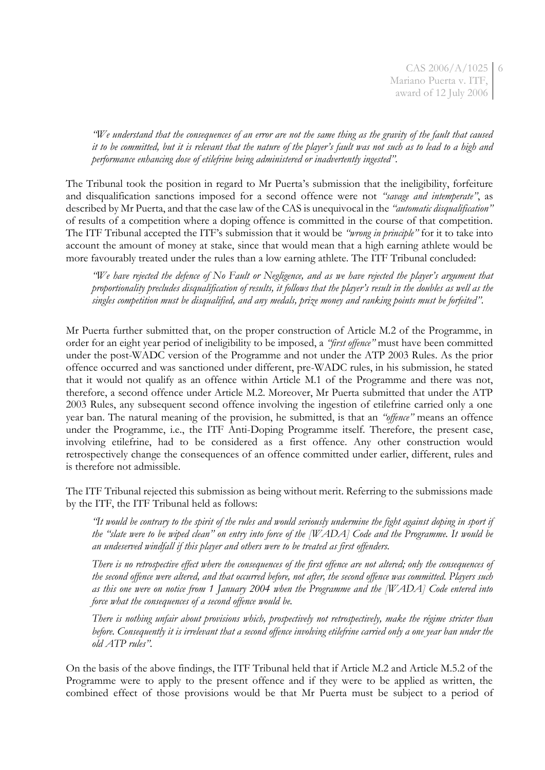CAS 2006/A/1025 6 Mariano Puerta v. ITF, award of 12 July 2006

*"We understand that the consequences of an error are not the same thing as the gravity of the fault that caused it to be committed, but it is relevant that the nature of the player's fault was not such as to lead to a high and performance enhancing dose of etilefrine being administered or inadvertently ingested".* 

The Tribunal took the position in regard to Mr Puerta's submission that the ineligibility, forfeiture and disqualification sanctions imposed for a second offence were not *"savage and intemperate"*, as described by Mr Puerta, and that the case law of the CAS is unequivocal in the *"automatic disqualification"* of results of a competition where a doping offence is committed in the course of that competition. The ITF Tribunal accepted the ITF's submission that it would be *"wrong in principle"* for it to take into account the amount of money at stake, since that would mean that a high earning athlete would be more favourably treated under the rules than a low earning athlete. The ITF Tribunal concluded:

*"We have rejected the defence of No Fault or Negligence, and as we have rejected the player's argument that proportionality precludes disqualification of results, it follows that the player's result in the doubles as well as the singles competition must be disqualified, and any medals, prize money and ranking points must be forfeited".*

Mr Puerta further submitted that, on the proper construction of Article M.2 of the Programme, in order for an eight year period of ineligibility to be imposed, a *"first offence"* must have been committed under the post-WADC version of the Programme and not under the ATP 2003 Rules. As the prior offence occurred and was sanctioned under different, pre-WADC rules, in his submission, he stated that it would not qualify as an offence within Article M.1 of the Programme and there was not, therefore, a second offence under Article M.2. Moreover, Mr Puerta submitted that under the ATP 2003 Rules, any subsequent second offence involving the ingestion of etilefrine carried only a one year ban. The natural meaning of the provision, he submitted, is that an *"offence"* means an offence under the Programme, i.e., the ITF Anti-Doping Programme itself. Therefore, the present case, involving etilefrine, had to be considered as a first offence. Any other construction would retrospectively change the consequences of an offence committed under earlier, different, rules and is therefore not admissible.

The ITF Tribunal rejected this submission as being without merit. Referring to the submissions made by the ITF, the ITF Tribunal held as follows:

*"It would be contrary to the spirit of the rules and would seriously undermine the fight against doping in sport if the "slate were to be wiped clean" on entry into force of the [WADA] Code and the Programme. It would be an undeserved windfall if this player and others were to be treated as first offenders.*

*There is no retrospective effect where the consequences of the first offence are not altered; only the consequences of the second offence were altered, and that occurred before, not after, the second offence was committed. Players such as this one were on notice from 1 January 2004 when the Programme and the [WADA] Code entered into force what the consequences of a second offence would be.*

*There is nothing unfair about provisions which, prospectively not retrospectively, make the régime stricter than before. Consequently it is irrelevant that a second offence involving etilefrine carried only a one year ban under the old ATP rules".*

On the basis of the above findings, the ITF Tribunal held that if Article M.2 and Article M.5.2 of the Programme were to apply to the present offence and if they were to be applied as written, the combined effect of those provisions would be that Mr Puerta must be subject to a period of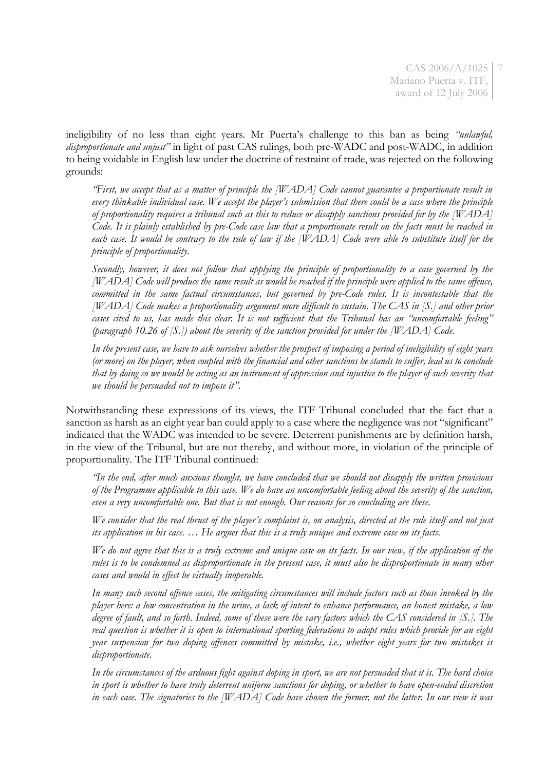CAS 2006/A/1025 7 Mariano Puerta v. ITF, award of 12 July 2006

ineligibility of no less than eight years. Mr Puerta's challenge to this ban as being *"unlawful, disproportionate and unjust"* in light of past CAS rulings, both pre-WADC and post-WADC, in addition to being voidable in English law under the doctrine of restraint of trade, was rejected on the following grounds:

*"First, we accept that as a matter of principle the [WADA] Code cannot guarantee a proportionate result in every thinkable individual case. We accept the player's submission that there could be a case where the principle of proportionality requires a tribunal such as this to reduce or disapply sanctions provided for by the [WADA] Code. It is plainly established by pre-Code case law that a proportionate result on the facts must be reached in each case. It would be contrary to the rule of law if the [WADA] Code were able to substitute itself for the principle of proportionality.* 

*Secondly, however, it does not follow that applying the principle of proportionality to a case governed by the [WADA] Code will produce the same result as would be reached if the principle were applied to the same offence, committed in the same factual circumstances, but governed by pre-Code rules. It is incontestable that the [WADA] Code makes a proportionality argument more difficult to sustain. The CAS in [S.] and other prior cases cited to us, has made this clear. It is not sufficient that the Tribunal has an "uncomfortable feeling" (paragraph 10.26 of [S.]) about the severity of the sanction provided for under the [WADA] Code.* 

*In the present case, we have to ask ourselves whether the prospect of imposing a period of ineligibility of eight years (or more) on the player, when coupled with the financial and other sanctions he stands to suffer, lead us to conclude that by doing so we would be acting as an instrument of oppression and injustice to the player of such severity that we should be persuaded not to impose it".*

Notwithstanding these expressions of its views, the ITF Tribunal concluded that the fact that a sanction as harsh as an eight year ban could apply to a case where the negligence was not "significant" indicated that the WADC was intended to be severe. Deterrent punishments are by definition harsh, in the view of the Tribunal, but are not thereby, and without more, in violation of the principle of proportionality. The ITF Tribunal continued:

*"In the end, after much anxious thought, we have concluded that we should not disapply the written provisions of the Programme applicable to this case. We do have an uncomfortable feeling about the severity of the sanction, even a very uncomfortable one. But that is not enough. Our reasons for so concluding are these.*

*We consider that the real thrust of the player's complaint is, on analysis, directed at the rule itself and not just its application in his case. … He argues that this is a truly unique and extreme case on its facts.*

*We do not agree that this is a truly extreme and unique case on its facts. In our view, if the application of the rules is to be condemned as disproportionate in the present case, it must also be disproportionate in many other cases and would in effect be virtually inoperable.*

*In many such second offence cases, the mitigating circumstances will include factors such as those invoked by the player here: a low concentration in the urine, a lack of intent to enhance performance, an honest mistake, a low degree of fault, and so forth. Indeed, some of these were the vary factors which the CAS considered in [S.]. The real question is whether it is open to international sporting federations to adopt rules which provide for an eight year suspension for two doping offences committed by mistake, i.e., whether eight years for two mistakes is disproportionate.*

*In the circumstances of the arduous fight against doping in sport, we are not persuaded that it is. The hard choice in sport is whether to have truly deterrent uniform sanctions for doping, or whether to have open-ended discretion in each case. The signatories to the [WADA] Code have chosen the former, not the latter. In our view it was*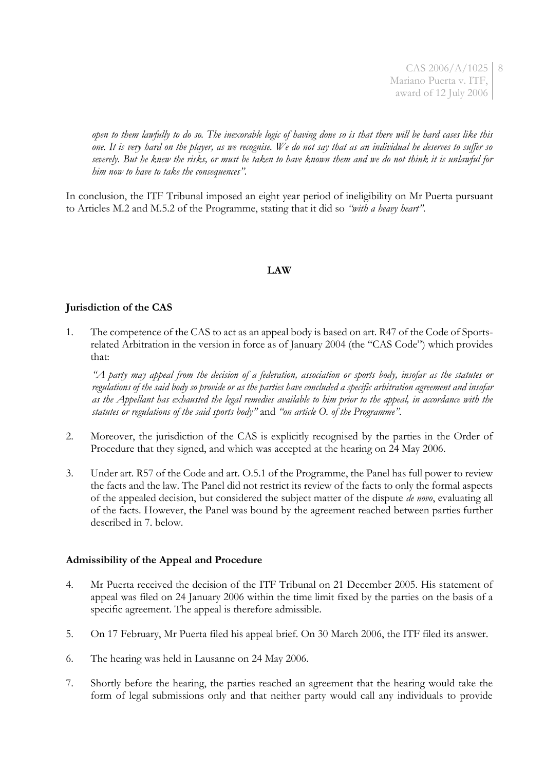CAS 2006/A/1025 8 Mariano Puerta v. ITF, award of 12 July 2006

*open to them lawfully to do so. The inexorable logic of having done so is that there will be hard cases like this one. It is very hard on the player, as we recognise. We do not say that as an individual he deserves to suffer so severely. But he knew the risks, or must be taken to have known them and we do not think it is unlawful for him now to have to take the consequences".*

In conclusion, the ITF Tribunal imposed an eight year period of ineligibility on Mr Puerta pursuant to Articles M.2 and M.5.2 of the Programme, stating that it did so *"with a heavy heart"*.

# **LAW**

### **Jurisdiction of the CAS**

1. The competence of the CAS to act as an appeal body is based on art. R47 of the Code of Sportsrelated Arbitration in the version in force as of January 2004 (the "CAS Code") which provides that:

*"A party may appeal from the decision of a federation, association or sports body, insofar as the statutes or regulations of the said body so provide or as the parties have concluded a specific arbitration agreement and insofar as the Appellant has exhausted the legal remedies available to him prior to the appeal, in accordance with the statutes or regulations of the said sports body"* and *"on article O. of the Programme".*

- 2. Moreover, the jurisdiction of the CAS is explicitly recognised by the parties in the Order of Procedure that they signed, and which was accepted at the hearing on 24 May 2006.
- 3. Under art. R57 of the Code and art. O.5.1 of the Programme, the Panel has full power to review the facts and the law. The Panel did not restrict its review of the facts to only the formal aspects of the appealed decision, but considered the subject matter of the dispute *de novo*, evaluating all of the facts. However, the Panel was bound by the agreement reached between parties further described in 7. below.

#### **Admissibility of the Appeal and Procedure**

- 4. Mr Puerta received the decision of the ITF Tribunal on 21 December 2005. His statement of appeal was filed on 24 January 2006 within the time limit fixed by the parties on the basis of a specific agreement. The appeal is therefore admissible.
- 5. On 17 February, Mr Puerta filed his appeal brief. On 30 March 2006, the ITF filed its answer.
- 6. The hearing was held in Lausanne on 24 May 2006.
- 7. Shortly before the hearing, the parties reached an agreement that the hearing would take the form of legal submissions only and that neither party would call any individuals to provide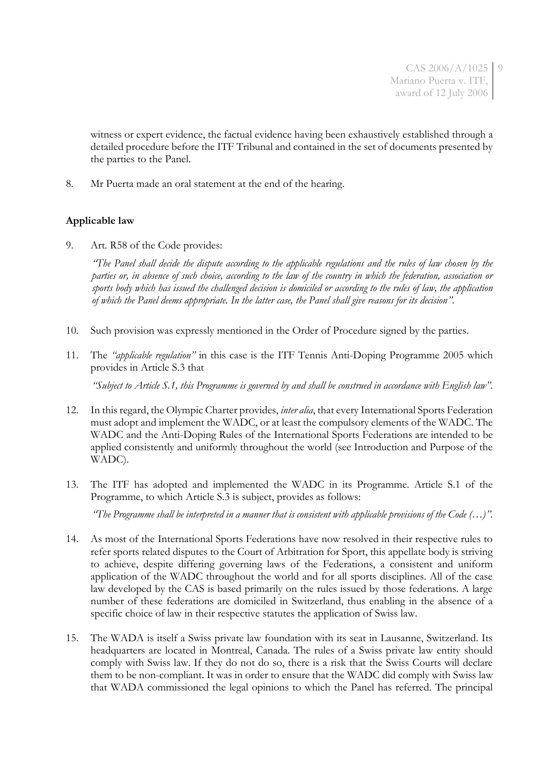witness or expert evidence, the factual evidence having been exhaustively established through a detailed procedure before the ITF Tribunal and contained in the set of documents presented by the parties to the Panel.

8. Mr Puerta made an oral statement at the end of the hearing.

# **Applicable law**

9. Art. R58 of the Code provides:

*"The Panel shall decide the dispute according to the applicable regulations and the rules of law chosen by the parties or, in absence of such choice, according to the law of the country in which the federation, association or sports body which has issued the challenged decision is domiciled or according to the rules of law, the application of which the Panel deems appropriate. In the latter case, the Panel shall give reasons for its decision".*

- 10. Such provision was expressly mentioned in the Order of Procedure signed by the parties.
- 11. The *"applicable regulation"* in this case is the ITF Tennis Anti-Doping Programme 2005 which provides in Article S.3 that

*"Subject to Article S.1, this Programme is governed by and shall be construed in accordance with English law".*

- 12. In this regard, the Olympic Charter provides, *inter alia*, that every International Sports Federation must adopt and implement the WADC, or at least the compulsory elements of the WADC. The WADC and the Anti-Doping Rules of the International Sports Federations are intended to be applied consistently and uniformly throughout the world (see Introduction and Purpose of the WADC).
- 13. The ITF has adopted and implemented the WADC in its Programme. Article S.1 of the Programme, to which Article S.3 is subject, provides as follows:

*"The Programme shall be interpreted in a manner that is consistent with applicable provisions of the Code (…)".*

- 14. As most of the International Sports Federations have now resolved in their respective rules to refer sports related disputes to the Court of Arbitration for Sport, this appellate body is striving to achieve, despite differing governing laws of the Federations, a consistent and uniform application of the WADC throughout the world and for all sports disciplines. All of the case law developed by the CAS is based primarily on the rules issued by those federations. A large number of these federations are domiciled in Switzerland, thus enabling in the absence of a specific choice of law in their respective statutes the application of Swiss law.
- 15. The WADA is itself a Swiss private law foundation with its seat in Lausanne, Switzerland. Its headquarters are located in Montreal, Canada. The rules of a Swiss private law entity should comply with Swiss law. If they do not do so, there is a risk that the Swiss Courts will declare them to be non-compliant. It was in order to ensure that the WADC did comply with Swiss law that WADA commissioned the legal opinions to which the Panel has referred. The principal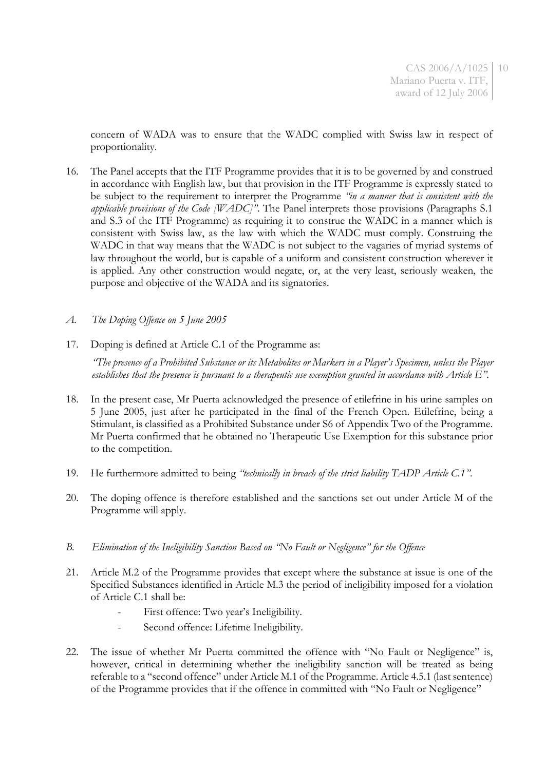concern of WADA was to ensure that the WADC complied with Swiss law in respect of proportionality.

- 16. The Panel accepts that the ITF Programme provides that it is to be governed by and construed in accordance with English law, but that provision in the ITF Programme is expressly stated to be subject to the requirement to interpret the Programme *"in a manner that is consistent with the applicable provisions of the Code [WADC]"*. The Panel interprets those provisions (Paragraphs S.1 and S.3 of the ITF Programme) as requiring it to construe the WADC in a manner which is consistent with Swiss law, as the law with which the WADC must comply. Construing the WADC in that way means that the WADC is not subject to the vagaries of myriad systems of law throughout the world, but is capable of a uniform and consistent construction wherever it is applied. Any other construction would negate, or, at the very least, seriously weaken, the purpose and objective of the WADA and its signatories.
- *A. The Doping Offence on 5 June 2005*
- 17. Doping is defined at Article C.1 of the Programme as:

*"The presence of a Prohibited Substance or its Metabolites or Markers in a Player's Specimen, unless the Player establishes that the presence is pursuant to a therapeutic use exemption granted in accordance with Article E".*

- 18. In the present case, Mr Puerta acknowledged the presence of etilefrine in his urine samples on 5 June 2005, just after he participated in the final of the French Open. Etilefrine, being a Stimulant, is classified as a Prohibited Substance under S6 of Appendix Two of the Programme. Mr Puerta confirmed that he obtained no Therapeutic Use Exemption for this substance prior to the competition.
- 19. He furthermore admitted to being *"technically in breach of the strict liability TADP Article C.1"*.
- 20. The doping offence is therefore established and the sanctions set out under Article M of the Programme will apply.
- *B. Elimination of the Ineligibility Sanction Based on "No Fault or Negligence" for the Offence*
- 21. Article M.2 of the Programme provides that except where the substance at issue is one of the Specified Substances identified in Article M.3 the period of ineligibility imposed for a violation of Article C.1 shall be:
	- First offence: Two year's Ineligibility.
	- Second offence: Lifetime Ineligibility.
- 22. The issue of whether Mr Puerta committed the offence with "No Fault or Negligence" is, however, critical in determining whether the ineligibility sanction will be treated as being referable to a "second offence" under Article M.1 of the Programme. Article 4.5.1 (last sentence) of the Programme provides that if the offence in committed with "No Fault or Negligence"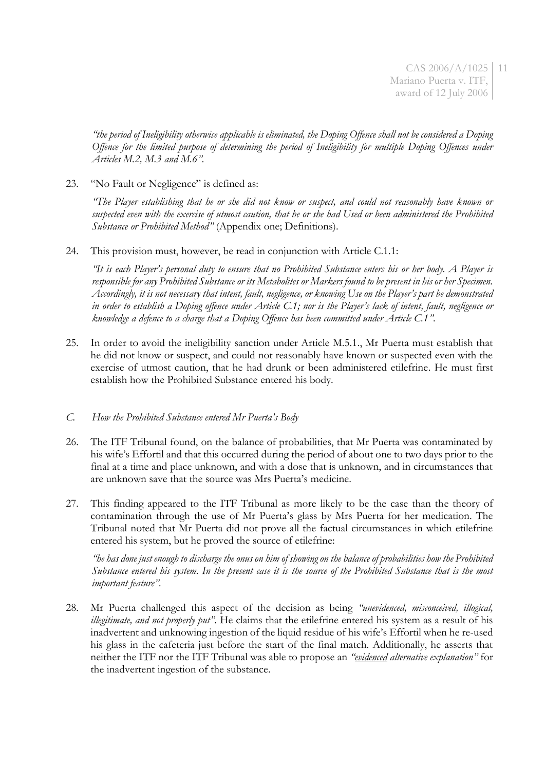CAS 2006/A/1025 11 Mariano Puerta v. ITF, award of 12 July 2006

*"the period of Ineligibility otherwise applicable is eliminated, the Doping Offence shall not be considered a Doping Offence for the limited purpose of determining the period of Ineligibility for multiple Doping Offences under Articles M.2, M.3 and M.6".*

23. "No Fault or Negligence" is defined as:

*"The Player establishing that he or she did not know or suspect, and could not reasonably have known or suspected even with the exercise of utmost caution, that he or she had Used or been administered the Prohibited Substance or Prohibited Method"* (Appendix one; Definitions).

24. This provision must, however, be read in conjunction with Article C.1.1:

*"It is each Player's personal duty to ensure that no Prohibited Substance enters his or her body. A Player is responsible for any Prohibited Substance or its Metabolites or Markers found to be present in his or her Specimen. Accordingly, it is not necessary that intent, fault, negligence, or knowing Use on the Player's part be demonstrated in order to establish a Doping offence under Article C.1; nor is the Player's lack of intent, fault, negligence or knowledge a defence to a charge that a Doping Offence has been committed under Article C.1".*

25. In order to avoid the ineligibility sanction under Article M.5.1., Mr Puerta must establish that he did not know or suspect, and could not reasonably have known or suspected even with the exercise of utmost caution, that he had drunk or been administered etilefrine. He must first establish how the Prohibited Substance entered his body.

#### *C. How the Prohibited Substance entered Mr Puerta's Body*

- 26. The ITF Tribunal found, on the balance of probabilities, that Mr Puerta was contaminated by his wife's Effortil and that this occurred during the period of about one to two days prior to the final at a time and place unknown, and with a dose that is unknown, and in circumstances that are unknown save that the source was Mrs Puerta's medicine.
- 27. This finding appeared to the ITF Tribunal as more likely to be the case than the theory of contamination through the use of Mr Puerta's glass by Mrs Puerta for her medication. The Tribunal noted that Mr Puerta did not prove all the factual circumstances in which etilefrine entered his system, but he proved the source of etilefrine:

*"he has done just enough to discharge the onus on him of showing on the balance of probabilities how the Prohibited Substance entered his system. In the present case it is the source of the Prohibited Substance that is the most important feature".*

28. Mr Puerta challenged this aspect of the decision as being *"unevidenced, misconceived, illogical, illegitimate, and not properly put".* He claims that the etilefrine entered his system as a result of his inadvertent and unknowing ingestion of the liquid residue of his wife's Effortil when he re-used his glass in the cafeteria just before the start of the final match. Additionally, he asserts that neither the ITF nor the ITF Tribunal was able to propose an *"evidenced alternative explanation"* for the inadvertent ingestion of the substance.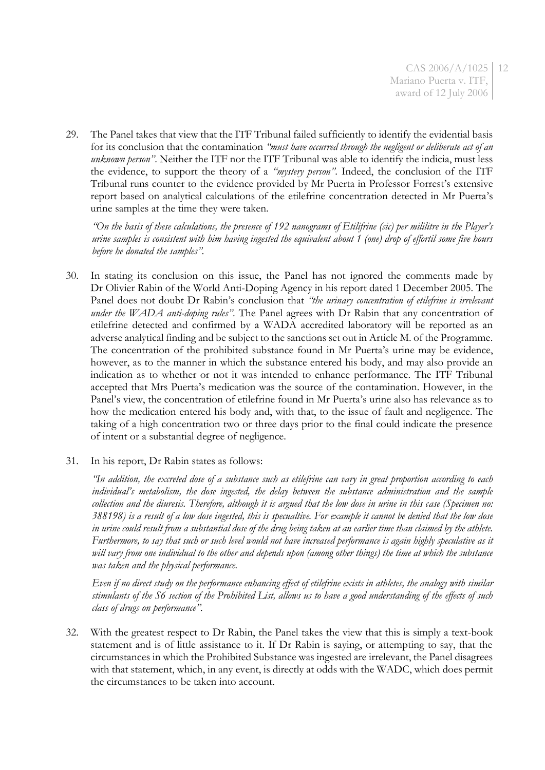29. The Panel takes that view that the ITF Tribunal failed sufficiently to identify the evidential basis for its conclusion that the contamination *"must have occurred through the negligent or deliberate act of an unknown person"*. Neither the ITF nor the ITF Tribunal was able to identify the indicia, must less the evidence, to support the theory of a *"mystery person"*. Indeed, the conclusion of the ITF Tribunal runs counter to the evidence provided by Mr Puerta in Professor Forrest's extensive report based on analytical calculations of the etilefrine concentration detected in Mr Puerta's urine samples at the time they were taken.

*"On the basis of these calculations, the presence of 192 nanograms of Etilifrine (sic) per mililitre in the Player's urine samples is consistent with him having ingested the equivalent about 1 (one) drop of effortil some five hours before he donated the samples".*

- 30. In stating its conclusion on this issue, the Panel has not ignored the comments made by Dr Olivier Rabin of the World Anti-Doping Agency in his report dated 1 December 2005. The Panel does not doubt Dr Rabin's conclusion that *"the urinary concentration of etilefrine is irrelevant under the WADA anti-doping rules"*. The Panel agrees with Dr Rabin that any concentration of etilefrine detected and confirmed by a WADA accredited laboratory will be reported as an adverse analytical finding and be subject to the sanctions set out in Article M. of the Programme. The concentration of the prohibited substance found in Mr Puerta's urine may be evidence, however, as to the manner in which the substance entered his body, and may also provide an indication as to whether or not it was intended to enhance performance. The ITF Tribunal accepted that Mrs Puerta's medication was the source of the contamination. However, in the Panel's view, the concentration of etilefrine found in Mr Puerta's urine also has relevance as to how the medication entered his body and, with that, to the issue of fault and negligence. The taking of a high concentration two or three days prior to the final could indicate the presence of intent or a substantial degree of negligence.
- 31. In his report, Dr Rabin states as follows:

*"In addition, the excreted dose of a substance such as etilefrine can vary in great proportion according to each individual's metabolism, the dose ingested, the delay between the substance administration and the sample collection and the diuresis. Therefore, although it is argued that the low dose in urine in this case (Specimen no: 388198) is a result of a low dose ingested, this is specualtive. For example it cannot be denied that the low dose in urine could result from a substantial dose of the drug being taken at an earlier time than claimed by the athlete. Furthermore, to say that such or such level would not have increased performance is again highly speculative as it will vary from one individual to the other and depends upon (among other things) the time at which the substance was taken and the physical performance.*

*Even if no direct study on the performance enhancing effect of etilefrine exists in athletes, the analogy with similar stimulants of the S6 section of the Prohibited List, allows us to have a good understanding of the effects of such class of drugs on performance".*

32. With the greatest respect to Dr Rabin, the Panel takes the view that this is simply a text-book statement and is of little assistance to it. If Dr Rabin is saying, or attempting to say, that the circumstances in which the Prohibited Substance was ingested are irrelevant, the Panel disagrees with that statement, which, in any event, is directly at odds with the WADC, which does permit the circumstances to be taken into account.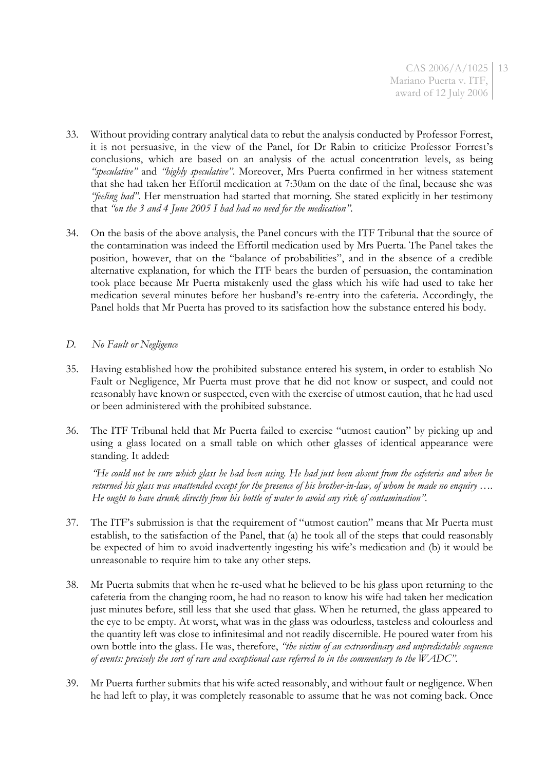- 33. Without providing contrary analytical data to rebut the analysis conducted by Professor Forrest, it is not persuasive, in the view of the Panel, for Dr Rabin to criticize Professor Forrest's conclusions, which are based on an analysis of the actual concentration levels, as being *"speculative"* and *"highly speculative"*. Moreover, Mrs Puerta confirmed in her witness statement that she had taken her Effortil medication at 7:30am on the date of the final, because she was *"feeling bad"*. Her menstruation had started that morning. She stated explicitly in her testimony that *"on the 3 and 4 June 2005 I had had no need for the medication"*.
- 34. On the basis of the above analysis, the Panel concurs with the ITF Tribunal that the source of the contamination was indeed the Effortil medication used by Mrs Puerta. The Panel takes the position, however, that on the "balance of probabilities", and in the absence of a credible alternative explanation, for which the ITF bears the burden of persuasion, the contamination took place because Mr Puerta mistakenly used the glass which his wife had used to take her medication several minutes before her husband's re-entry into the cafeteria. Accordingly, the Panel holds that Mr Puerta has proved to its satisfaction how the substance entered his body.

# *D. No Fault or Negligence*

- 35. Having established how the prohibited substance entered his system, in order to establish No Fault or Negligence, Mr Puerta must prove that he did not know or suspect, and could not reasonably have known or suspected, even with the exercise of utmost caution, that he had used or been administered with the prohibited substance.
- 36. The ITF Tribunal held that Mr Puerta failed to exercise "utmost caution" by picking up and using a glass located on a small table on which other glasses of identical appearance were standing. It added:

*"He could not be sure which glass he had been using. He had just been absent from the cafeteria and when he returned his glass was unattended except for the presence of his brother-in-law, of whom he made no enquiry …. He ought to have drunk directly from his bottle of water to avoid any risk of contamination".*

- 37. The ITF's submission is that the requirement of "utmost caution" means that Mr Puerta must establish, to the satisfaction of the Panel, that (a) he took all of the steps that could reasonably be expected of him to avoid inadvertently ingesting his wife's medication and (b) it would be unreasonable to require him to take any other steps.
- 38. Mr Puerta submits that when he re-used what he believed to be his glass upon returning to the cafeteria from the changing room, he had no reason to know his wife had taken her medication just minutes before, still less that she used that glass. When he returned, the glass appeared to the eye to be empty. At worst, what was in the glass was odourless, tasteless and colourless and the quantity left was close to infinitesimal and not readily discernible. He poured water from his own bottle into the glass. He was, therefore, *"the victim of an extraordinary and unpredictable sequence of events: precisely the sort of rare and exceptional case referred to in the commentary to the WADC".*
- 39. Mr Puerta further submits that his wife acted reasonably, and without fault or negligence. When he had left to play, it was completely reasonable to assume that he was not coming back. Once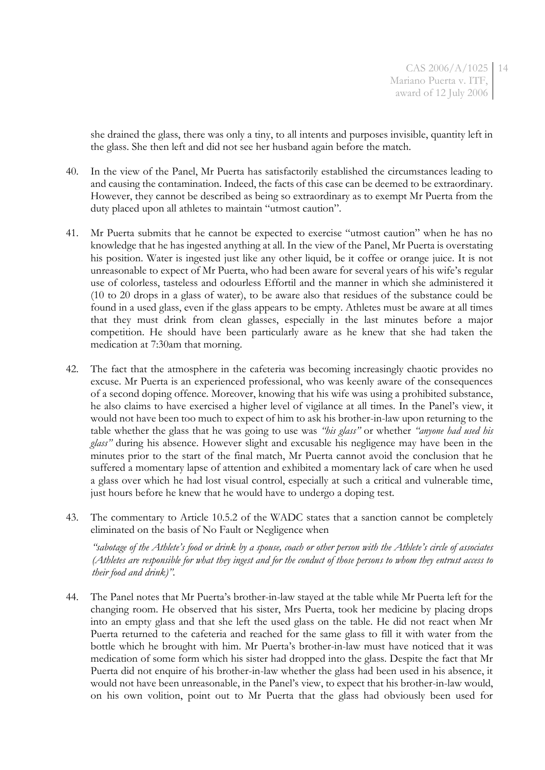she drained the glass, there was only a tiny, to all intents and purposes invisible, quantity left in the glass. She then left and did not see her husband again before the match.

- 40. In the view of the Panel, Mr Puerta has satisfactorily established the circumstances leading to and causing the contamination. Indeed, the facts of this case can be deemed to be extraordinary. However, they cannot be described as being so extraordinary as to exempt Mr Puerta from the duty placed upon all athletes to maintain "utmost caution".
- 41. Mr Puerta submits that he cannot be expected to exercise "utmost caution" when he has no knowledge that he has ingested anything at all. In the view of the Panel, Mr Puerta is overstating his position. Water is ingested just like any other liquid, be it coffee or orange juice. It is not unreasonable to expect of Mr Puerta, who had been aware for several years of his wife's regular use of colorless, tasteless and odourless Effortil and the manner in which she administered it (10 to 20 drops in a glass of water), to be aware also that residues of the substance could be found in a used glass, even if the glass appears to be empty. Athletes must be aware at all times that they must drink from clean glasses, especially in the last minutes before a major competition. He should have been particularly aware as he knew that she had taken the medication at 7:30am that morning.
- 42. The fact that the atmosphere in the cafeteria was becoming increasingly chaotic provides no excuse. Mr Puerta is an experienced professional, who was keenly aware of the consequences of a second doping offence. Moreover, knowing that his wife was using a prohibited substance, he also claims to have exercised a higher level of vigilance at all times. In the Panel's view, it would not have been too much to expect of him to ask his brother-in-law upon returning to the table whether the glass that he was going to use was *"his glass"* or whether *"anyone had used his glass"* during his absence. However slight and excusable his negligence may have been in the minutes prior to the start of the final match, Mr Puerta cannot avoid the conclusion that he suffered a momentary lapse of attention and exhibited a momentary lack of care when he used a glass over which he had lost visual control, especially at such a critical and vulnerable time, just hours before he knew that he would have to undergo a doping test.
- 43. The commentary to Article 10.5.2 of the WADC states that a sanction cannot be completely eliminated on the basis of No Fault or Negligence when

*"sabotage of the Athlete's food or drink by a spouse, coach or other person with the Athlete's circle of associates (Athletes are responsible for what they ingest and for the conduct of those persons to whom they entrust access to their food and drink)".* 

44. The Panel notes that Mr Puerta's brother-in-law stayed at the table while Mr Puerta left for the changing room. He observed that his sister, Mrs Puerta, took her medicine by placing drops into an empty glass and that she left the used glass on the table. He did not react when Mr Puerta returned to the cafeteria and reached for the same glass to fill it with water from the bottle which he brought with him. Mr Puerta's brother-in-law must have noticed that it was medication of some form which his sister had dropped into the glass. Despite the fact that Mr Puerta did not enquire of his brother-in-law whether the glass had been used in his absence, it would not have been unreasonable, in the Panel's view, to expect that his brother-in-law would, on his own volition, point out to Mr Puerta that the glass had obviously been used for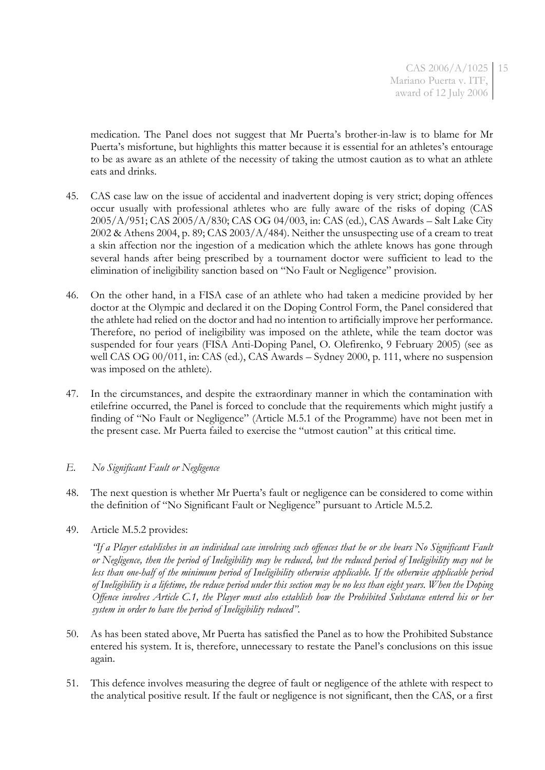medication. The Panel does not suggest that Mr Puerta's brother-in-law is to blame for Mr Puerta's misfortune, but highlights this matter because it is essential for an athletes's entourage to be as aware as an athlete of the necessity of taking the utmost caution as to what an athlete eats and drinks.

- 45. CAS case law on the issue of accidental and inadvertent doping is very strict; doping offences occur usually with professional athletes who are fully aware of the risks of doping (CAS 2005/A/951; CAS 2005/A/830; CAS OG 04/003, in: CAS (ed.), CAS Awards – Salt Lake City 2002 & Athens 2004, p. 89; CAS 2003/ $A/484$ ). Neither the unsuspecting use of a cream to treat a skin affection nor the ingestion of a medication which the athlete knows has gone through several hands after being prescribed by a tournament doctor were sufficient to lead to the elimination of ineligibility sanction based on "No Fault or Negligence" provision.
- 46. On the other hand, in a FISA case of an athlete who had taken a medicine provided by her doctor at the Olympic and declared it on the Doping Control Form, the Panel considered that the athlete had relied on the doctor and had no intention to artificially improve her performance. Therefore, no period of ineligibility was imposed on the athlete, while the team doctor was suspended for four years (FISA Anti-Doping Panel, O. Olefirenko, 9 February 2005) (see as well CAS OG 00/011, in: CAS (ed.), CAS Awards – Sydney 2000, p. 111, where no suspension was imposed on the athlete).
- 47. In the circumstances, and despite the extraordinary manner in which the contamination with etilefrine occurred, the Panel is forced to conclude that the requirements which might justify a finding of "No Fault or Negligence" (Article M.5.1 of the Programme) have not been met in the present case. Mr Puerta failed to exercise the "utmost caution" at this critical time.

# *E. No Significant Fault or Negligence*

- 48. The next question is whether Mr Puerta's fault or negligence can be considered to come within the definition of "No Significant Fault or Negligence" pursuant to Article M.5.2.
- 49. Article M.5.2 provides:

*"If a Player establishes in an individual case involving such offences that he or she bears No Significant Fault or Negligence, then the period of Ineligibility may be reduced, but the reduced period of Ineligibility may not be*  less than one-half of the minimum period of Ineligibility otherwise applicable. If the otherwise applicable period *of Ineligibility is a lifetime, the reduce period under this section may be no less than eight years. When the Doping Offence involves Article C.1, the Player must also establish how the Prohibited Substance entered his or her system in order to have the period of Ineligibility reduced".*

- 50. As has been stated above, Mr Puerta has satisfied the Panel as to how the Prohibited Substance entered his system. It is, therefore, unnecessary to restate the Panel's conclusions on this issue again.
- 51. This defence involves measuring the degree of fault or negligence of the athlete with respect to the analytical positive result. If the fault or negligence is not significant, then the CAS, or a first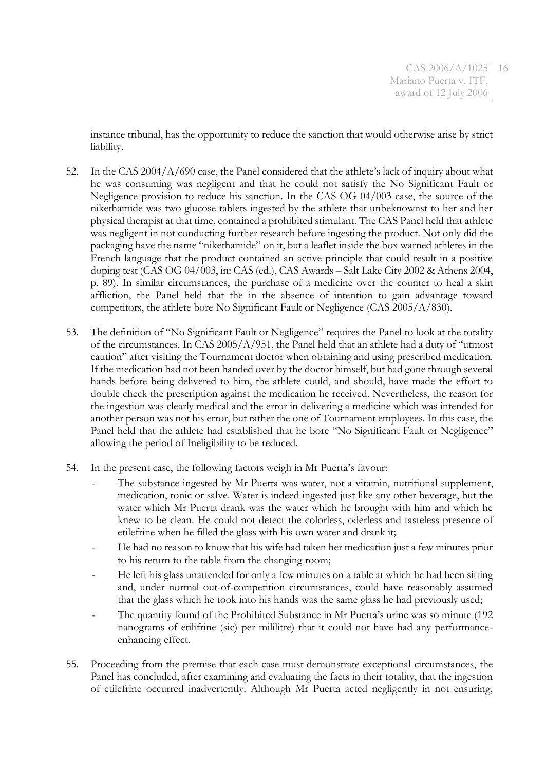instance tribunal, has the opportunity to reduce the sanction that would otherwise arise by strict liability.

- 52. In the CAS  $2004/A/690$  case, the Panel considered that the athlete's lack of inquiry about what he was consuming was negligent and that he could not satisfy the No Significant Fault or Negligence provision to reduce his sanction. In the CAS OG 04/003 case, the source of the nikethamide was two glucose tablets ingested by the athlete that unbeknownst to her and her physical therapist at that time, contained a prohibited stimulant. The CAS Panel held that athlete was negligent in not conducting further research before ingesting the product. Not only did the packaging have the name "nikethamide" on it, but a leaflet inside the box warned athletes in the French language that the product contained an active principle that could result in a positive doping test (CAS OG 04/003, in: CAS (ed.), CAS Awards – Salt Lake City 2002 & Athens 2004, p. 89). In similar circumstances, the purchase of a medicine over the counter to heal a skin affliction, the Panel held that the in the absence of intention to gain advantage toward competitors, the athlete bore No Significant Fault or Negligence (CAS 2005/A/830).
- 53. The definition of "No Significant Fault or Negligence" requires the Panel to look at the totality of the circumstances. In CAS 2005/A/951, the Panel held that an athlete had a duty of "utmost caution" after visiting the Tournament doctor when obtaining and using prescribed medication. If the medication had not been handed over by the doctor himself, but had gone through several hands before being delivered to him, the athlete could, and should, have made the effort to double check the prescription against the medication he received. Nevertheless, the reason for the ingestion was clearly medical and the error in delivering a medicine which was intended for another person was not his error, but rather the one of Tournament employees. In this case, the Panel held that the athlete had established that he bore "No Significant Fault or Negligence" allowing the period of Ineligibility to be reduced.
- 54. In the present case, the following factors weigh in Mr Puerta's favour:
	- The substance ingested by Mr Puerta was water, not a vitamin, nutritional supplement, medication, tonic or salve. Water is indeed ingested just like any other beverage, but the water which Mr Puerta drank was the water which he brought with him and which he knew to be clean. He could not detect the colorless, oderless and tasteless presence of etilefrine when he filled the glass with his own water and drank it;
	- He had no reason to know that his wife had taken her medication just a few minutes prior to his return to the table from the changing room;
	- He left his glass unattended for only a few minutes on a table at which he had been sitting and, under normal out-of-competition circumstances, could have reasonably assumed that the glass which he took into his hands was the same glass he had previously used;
	- The quantity found of the Prohibited Substance in Mr Puerta's urine was so minute (192 nanograms of etilifrine (sic) per mililitre) that it could not have had any performanceenhancing effect.
- 55. Proceeding from the premise that each case must demonstrate exceptional circumstances, the Panel has concluded, after examining and evaluating the facts in their totality, that the ingestion of etilefrine occurred inadvertently. Although Mr Puerta acted negligently in not ensuring,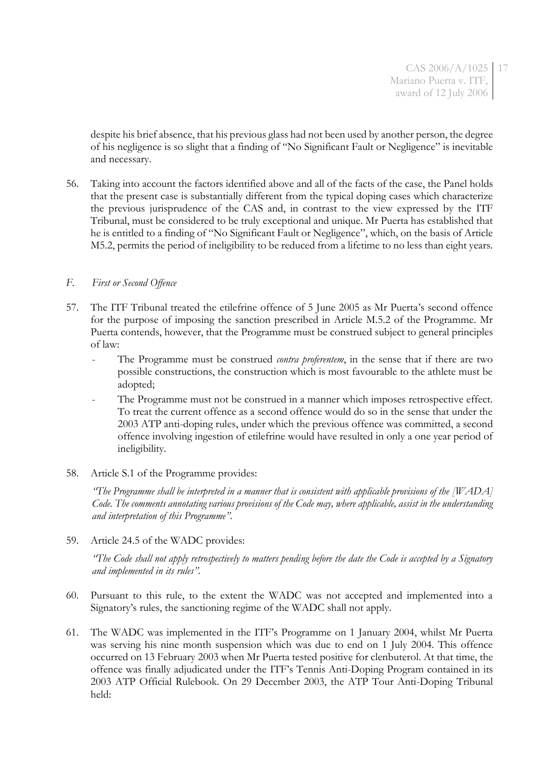despite his brief absence, that his previous glass had not been used by another person, the degree of his negligence is so slight that a finding of "No Significant Fault or Negligence" is inevitable and necessary.

56. Taking into account the factors identified above and all of the facts of the case, the Panel holds that the present case is substantially different from the typical doping cases which characterize the previous jurisprudence of the CAS and, in contrast to the view expressed by the ITF Tribunal, must be considered to be truly exceptional and unique. Mr Puerta has established that he is entitled to a finding of "No Significant Fault or Negligence", which, on the basis of Article M5.2, permits the period of ineligibility to be reduced from a lifetime to no less than eight years.

### *F. First or Second Offence*

- 57. The ITF Tribunal treated the etilefrine offence of 5 June 2005 as Mr Puerta's second offence for the purpose of imposing the sanction prescribed in Article M.5.2 of the Programme. Mr Puerta contends, however, that the Programme must be construed subject to general principles of law:
	- The Programme must be construed *contra proferentem*, in the sense that if there are two possible constructions, the construction which is most favourable to the athlete must be adopted;
	- The Programme must not be construed in a manner which imposes retrospective effect. To treat the current offence as a second offence would do so in the sense that under the 2003 ATP anti-doping rules, under which the previous offence was committed, a second offence involving ingestion of etilefrine would have resulted in only a one year period of ineligibility.
- 58. Article S.1 of the Programme provides:

*"The Programme shall be interpreted in a manner that is consistent with applicable provisions of the [WADA] Code. The comments annotating various provisions of the Code may, where applicable, assist in the understanding and interpretation of this Programme".*

59. Article 24.5 of the WADC provides:

*"The Code shall not apply retrospectively to matters pending before the date the Code is accepted by a Signatory and implemented in its rules".*

- 60. Pursuant to this rule, to the extent the WADC was not accepted and implemented into a Signatory's rules, the sanctioning regime of the WADC shall not apply.
- 61. The WADC was implemented in the ITF's Programme on 1 January 2004, whilst Mr Puerta was serving his nine month suspension which was due to end on 1 July 2004. This offence occurred on 13 February 2003 when Mr Puerta tested positive for clenbuterol. At that time, the offence was finally adjudicated under the ITF's Tennis Anti-Doping Program contained in its 2003 ATP Official Rulebook. On 29 December 2003, the ATP Tour Anti-Doping Tribunal held: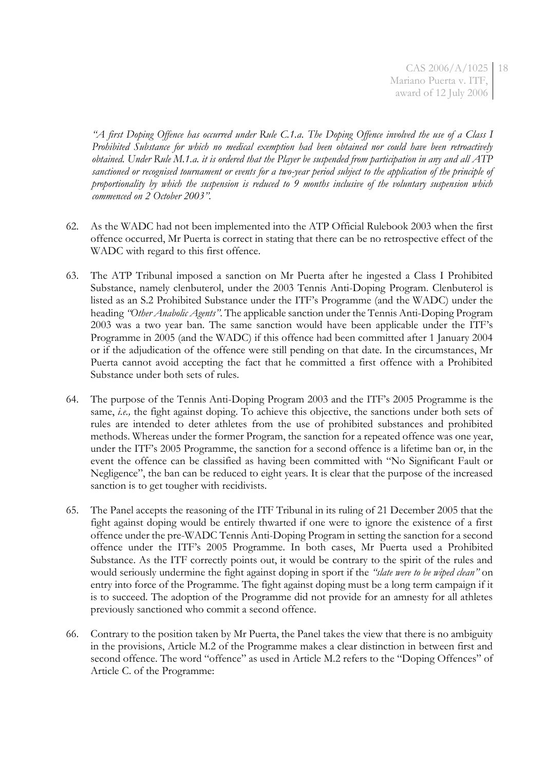*"A first Doping Offence has occurred under Rule C.1.a. The Doping Offence involved the use of a Class I Prohibited Substance for which no medical exemption had been obtained nor could have been retroactively obtained. Under Rule M.1.a. it is ordered that the Player be suspended from participation in any and all ATP sanctioned or recognised tournament or events for a two-year period subject to the application of the principle of proportionality by which the suspension is reduced to 9 months inclusive of the voluntary suspension which commenced on 2 October 2003".*

- 62. As the WADC had not been implemented into the ATP Official Rulebook 2003 when the first offence occurred, Mr Puerta is correct in stating that there can be no retrospective effect of the WADC with regard to this first offence.
- 63. The ATP Tribunal imposed a sanction on Mr Puerta after he ingested a Class I Prohibited Substance, namely clenbuterol, under the 2003 Tennis Anti-Doping Program. Clenbuterol is listed as an S.2 Prohibited Substance under the ITF's Programme (and the WADC) under the heading *"Other Anabolic Agents"*. The applicable sanction under the Tennis Anti-Doping Program 2003 was a two year ban. The same sanction would have been applicable under the ITF's Programme in 2005 (and the WADC) if this offence had been committed after 1 January 2004 or if the adjudication of the offence were still pending on that date. In the circumstances, Mr Puerta cannot avoid accepting the fact that he committed a first offence with a Prohibited Substance under both sets of rules.
- 64. The purpose of the Tennis Anti-Doping Program 2003 and the ITF's 2005 Programme is the same, *i.e.,* the fight against doping. To achieve this objective, the sanctions under both sets of rules are intended to deter athletes from the use of prohibited substances and prohibited methods. Whereas under the former Program, the sanction for a repeated offence was one year, under the ITF's 2005 Programme, the sanction for a second offence is a lifetime ban or, in the event the offence can be classified as having been committed with "No Significant Fault or Negligence", the ban can be reduced to eight years. It is clear that the purpose of the increased sanction is to get tougher with recidivists.
- 65. The Panel accepts the reasoning of the ITF Tribunal in its ruling of 21 December 2005 that the fight against doping would be entirely thwarted if one were to ignore the existence of a first offence under the pre-WADC Tennis Anti-Doping Program in setting the sanction for a second offence under the ITF's 2005 Programme. In both cases, Mr Puerta used a Prohibited Substance. As the ITF correctly points out, it would be contrary to the spirit of the rules and would seriously undermine the fight against doping in sport if the *"slate were to be wiped clean"* on entry into force of the Programme. The fight against doping must be a long term campaign if it is to succeed. The adoption of the Programme did not provide for an amnesty for all athletes previously sanctioned who commit a second offence.
- 66. Contrary to the position taken by Mr Puerta, the Panel takes the view that there is no ambiguity in the provisions, Article M.2 of the Programme makes a clear distinction in between first and second offence. The word "offence" as used in Article M.2 refers to the "Doping Offences" of Article C. of the Programme: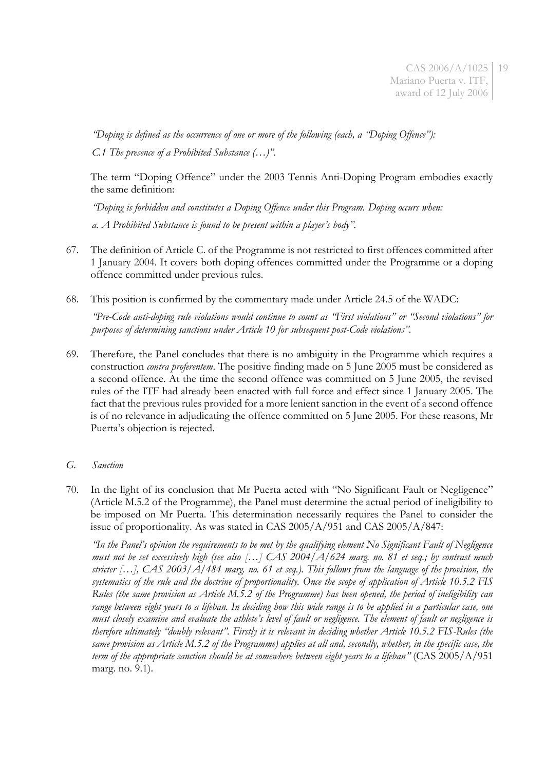*"Doping is defined as the occurrence of one or more of the following (each, a "Doping Offence"): C.1 The presence of a Prohibited Substance (…)".*

The term "Doping Offence" under the 2003 Tennis Anti-Doping Program embodies exactly the same definition:

*"Doping is forbidden and constitutes a Doping Offence under this Program. Doping occurs when: a. A Prohibited Substance is found to be present within a player's body".*

- 67. The definition of Article C. of the Programme is not restricted to first offences committed after 1 January 2004. It covers both doping offences committed under the Programme or a doping offence committed under previous rules.
- 68. This position is confirmed by the commentary made under Article 24.5 of the WADC:

*"Pre-Code anti-doping rule violations would continue to count as "First violations" or "Second violations" for purposes of determining sanctions under Article 10 for subsequent post-Code violations".*

69. Therefore, the Panel concludes that there is no ambiguity in the Programme which requires a construction *contra proferentem*. The positive finding made on 5 June 2005 must be considered as a second offence. At the time the second offence was committed on 5 June 2005, the revised rules of the ITF had already been enacted with full force and effect since 1 January 2005. The fact that the previous rules provided for a more lenient sanction in the event of a second offence is of no relevance in adjudicating the offence committed on 5 June 2005. For these reasons, Mr Puerta's objection is rejected.

# *G. Sanction*

70. In the light of its conclusion that Mr Puerta acted with "No Significant Fault or Negligence" (Article M.5.2 of the Programme), the Panel must determine the actual period of ineligibility to be imposed on Mr Puerta. This determination necessarily requires the Panel to consider the issue of proportionality. As was stated in CAS 2005/A/951 and CAS 2005/A/847:

*"In the Panel's opinion the requirements to be met by the qualifying element No Significant Fault of Negligence must not be set excessively high (see also […] CAS 2004/A/624 marg. no. 81 et seq.; by contrast much stricter […], CAS 2003/A/484 marg. no. 61 et seq.). This follows from the language of the provision, the systematics of the rule and the doctrine of proportionality. Once the scope of application of Article 10.5.2 FIS Rules (the same provision as Article M.5.2 of the Programme) has been opened, the period of ineligibility can range between eight years to a lifeban. In deciding how this wide range is to be applied in a particular case, one must closely examine and evaluate the athlete's level of fault or negligence. The element of fault or negligence is therefore ultimately "doubly relevant". Firstly it is relevant in deciding whether Article 10.5.2 FIS-Rules (the same provision as Article M.5.2 of the Programme) applies at all and, secondly, whether, in the specific case, the term of the appropriate sanction should be at somewhere between eight years to a lifeban"* (CAS 2005/A/951 marg. no. 9.1).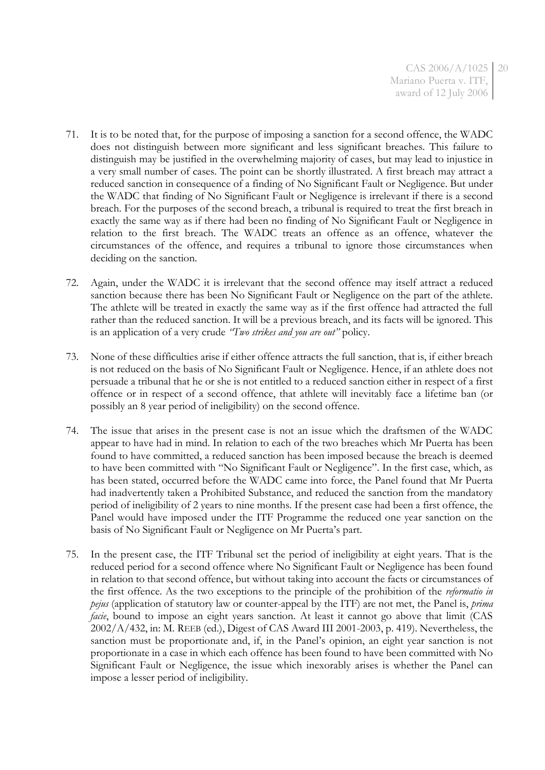- 71. It is to be noted that, for the purpose of imposing a sanction for a second offence, the WADC does not distinguish between more significant and less significant breaches. This failure to distinguish may be justified in the overwhelming majority of cases, but may lead to injustice in a very small number of cases. The point can be shortly illustrated. A first breach may attract a reduced sanction in consequence of a finding of No Significant Fault or Negligence. But under the WADC that finding of No Significant Fault or Negligence is irrelevant if there is a second breach. For the purposes of the second breach, a tribunal is required to treat the first breach in exactly the same way as if there had been no finding of No Significant Fault or Negligence in relation to the first breach. The WADC treats an offence as an offence, whatever the circumstances of the offence, and requires a tribunal to ignore those circumstances when deciding on the sanction.
- 72. Again, under the WADC it is irrelevant that the second offence may itself attract a reduced sanction because there has been No Significant Fault or Negligence on the part of the athlete. The athlete will be treated in exactly the same way as if the first offence had attracted the full rather than the reduced sanction. It will be a previous breach, and its facts will be ignored. This is an application of a very crude *"Two strikes and you are out"* policy.
- 73. None of these difficulties arise if either offence attracts the full sanction, that is, if either breach is not reduced on the basis of No Significant Fault or Negligence. Hence, if an athlete does not persuade a tribunal that he or she is not entitled to a reduced sanction either in respect of a first offence or in respect of a second offence, that athlete will inevitably face a lifetime ban (or possibly an 8 year period of ineligibility) on the second offence.
- 74. The issue that arises in the present case is not an issue which the draftsmen of the WADC appear to have had in mind. In relation to each of the two breaches which Mr Puerta has been found to have committed, a reduced sanction has been imposed because the breach is deemed to have been committed with "No Significant Fault or Negligence". In the first case, which, as has been stated, occurred before the WADC came into force, the Panel found that Mr Puerta had inadvertently taken a Prohibited Substance, and reduced the sanction from the mandatory period of ineligibility of 2 years to nine months. If the present case had been a first offence, the Panel would have imposed under the ITF Programme the reduced one year sanction on the basis of No Significant Fault or Negligence on Mr Puerta's part.
- 75. In the present case, the ITF Tribunal set the period of ineligibility at eight years. That is the reduced period for a second offence where No Significant Fault or Negligence has been found in relation to that second offence, but without taking into account the facts or circumstances of the first offence. As the two exceptions to the principle of the prohibition of the *reformatio in pejus* (application of statutory law or counter-appeal by the ITF) are not met, the Panel is, *prima facie*, bound to impose an eight years sanction. At least it cannot go above that limit (CAS 2002/A/432, in: M. REEB (ed.), Digest of CAS Award III 2001-2003, p. 419). Nevertheless, the sanction must be proportionate and, if, in the Panel's opinion, an eight year sanction is not proportionate in a case in which each offence has been found to have been committed with No Significant Fault or Negligence, the issue which inexorably arises is whether the Panel can impose a lesser period of ineligibility.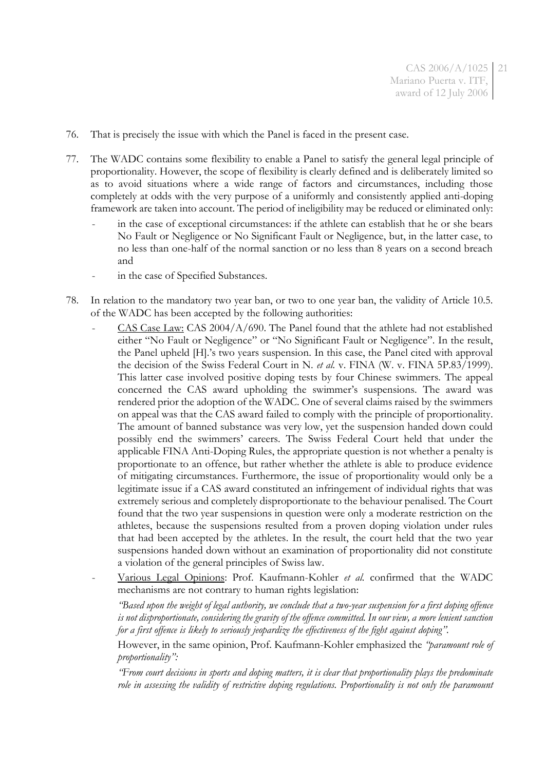- 76. That is precisely the issue with which the Panel is faced in the present case.
- 77. The WADC contains some flexibility to enable a Panel to satisfy the general legal principle of proportionality. However, the scope of flexibility is clearly defined and is deliberately limited so as to avoid situations where a wide range of factors and circumstances, including those completely at odds with the very purpose of a uniformly and consistently applied anti-doping framework are taken into account. The period of ineligibility may be reduced or eliminated only:
	- in the case of exceptional circumstances: if the athlete can establish that he or she bears No Fault or Negligence or No Significant Fault or Negligence, but, in the latter case, to no less than one-half of the normal sanction or no less than 8 years on a second breach and
	- in the case of Specified Substances.
- 78. In relation to the mandatory two year ban, or two to one year ban, the validity of Article 10.5. of the WADC has been accepted by the following authorities:
	- CAS Case Law: CAS 2004/A/690. The Panel found that the athlete had not established either "No Fault or Negligence" or "No Significant Fault or Negligence". In the result, the Panel upheld [H].'s two years suspension. In this case, the Panel cited with approval the decision of the Swiss Federal Court in N. *et al.* v. FINA (W. v. FINA 5P.83/1999). This latter case involved positive doping tests by four Chinese swimmers. The appeal concerned the CAS award upholding the swimmer's suspensions. The award was rendered prior the adoption of the WADC. One of several claims raised by the swimmers on appeal was that the CAS award failed to comply with the principle of proportionality. The amount of banned substance was very low, yet the suspension handed down could possibly end the swimmers' careers. The Swiss Federal Court held that under the applicable FINA Anti-Doping Rules, the appropriate question is not whether a penalty is proportionate to an offence, but rather whether the athlete is able to produce evidence of mitigating circumstances. Furthermore, the issue of proportionality would only be a legitimate issue if a CAS award constituted an infringement of individual rights that was extremely serious and completely disproportionate to the behaviour penalised. The Court found that the two year suspensions in question were only a moderate restriction on the athletes, because the suspensions resulted from a proven doping violation under rules that had been accepted by the athletes. In the result, the court held that the two year suspensions handed down without an examination of proportionality did not constitute a violation of the general principles of Swiss law.
	- Various Legal Opinions: Prof. Kaufmann-Kohler *et al.* confirmed that the WADC mechanisms are not contrary to human rights legislation:

*"Based upon the weight of legal authority, we conclude that a two-year suspension for a first doping offence is not disproportionate, considering the gravity of the offence committed. In our view, a more lenient sanction for a first offence is likely to seriously jeopardize the effectiveness of the fight against doping".*

However, in the same opinion, Prof. Kaufmann-Kohler emphasized the *"paramount role of proportionality":*

*"From court decisions in sports and doping matters, it is clear that proportionality plays the predominate*  role in assessing the validity of restrictive doping regulations. Proportionality is not only the paramount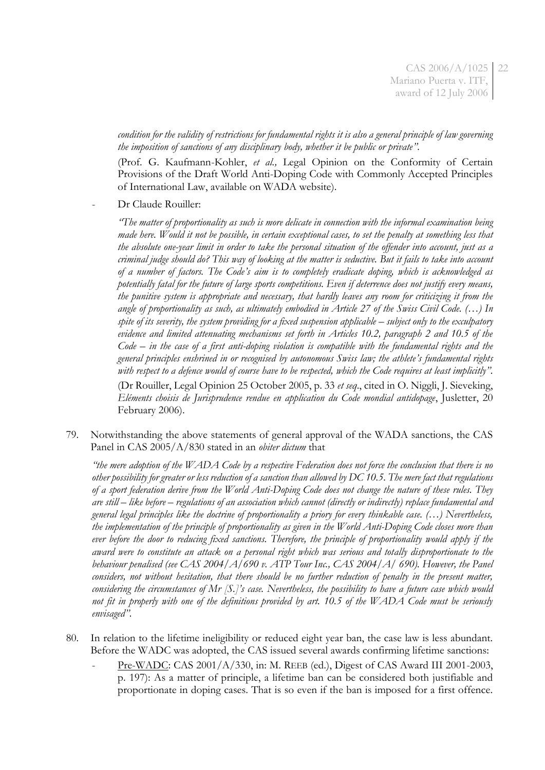*condition for the validity of restrictions for fundamental rights it is also a general principle of law governing the imposition of sanctions of any disciplinary body, whether it be public or private".*

(Prof. G. Kaufmann-Kohler, *et al.,* Legal Opinion on the Conformity of Certain Provisions of the Draft World Anti-Doping Code with Commonly Accepted Principles of International Law, available on WADA website).

Dr Claude Rouiller:

*"The matter of proportionality as such is more delicate in connection with the informal examination being made here. Would it not be possible, in certain exceptional cases, to set the penalty at something less that the absolute one-year limit in order to take the personal situation of the offender into account, just as a criminal judge should do? This way of looking at the matter is seductive. But it fails to take into account of a number of factors. The Code's aim is to completely eradicate doping, which is acknowledged as potentially fatal for the future of large sports competitions. Even if deterrence does not justify every means, the punitive system is appropriate and necessary, that hardly leaves any room for criticizing it from the angle of proportionality as such, as ultimately embodied in Article 27 of the Swiss Civil Code. (…) In spite of its severity, the system providing for a fixed suspension applicable – subject only to the exculpatory evidence and limited attenuating mechanisms set forth in Articles 10.2, paragraph 2 and 10.5 of the Code – in the case of a first anti-doping violation is compatible with the fundamental rights and the general principles enshrined in or recognised by autonomous Swiss law; the athlete's fundamental rights with respect to a defence would of course have to be respected, which the Code requires at least implicitly".*

(Dr Rouiller, Legal Opinion 25 October 2005, p. 33 *et seq*., cited in O. Niggli, J. Sieveking, *Eléments choisis de Jurisprudence rendue en application du Code mondial antidopage*, Jusletter, 20 February 2006).

79. Notwithstanding the above statements of general approval of the WADA sanctions, the CAS Panel in CAS 2005/A/830 stated in an *obiter dictum* that

*"the mere adoption of the WADA Code by a respective Federation does not force the conclusion that there is no other possibility for greater or less reduction of a sanction than allowed by DC 10.5. The mere fact that regulations of a sport federation derive from the World Anti-Doping Code does not change the nature of these rules. They are still – like before – regulations of an association which cannot (directly or indirectly) replace fundamental and general legal principles like the doctrine of proportionality a priory for every thinkable case. (…) Nevertheless, the implementation of the principle of proportionality as given in the World Anti-Doping Code closes more than ever before the door to reducing fixed sanctions. Therefore, the principle of proportionality would apply if the award were to constitute an attack on a personal right which was serious and totally disproportionate to the behaviour penalised (see CAS 2004/A/690 v. ATP Tour Inc., CAS 2004/A/ 690). However, the Panel considers, not without hesitation, that there should be no further reduction of penalty in the present matter, considering the circumstances of Mr [S.]'s case. Nevertheless, the possibility to have a future case which would not fit in properly with one of the definitions provided by art. 10.5 of the WADA Code must be seriously envisaged".*

- 80. In relation to the lifetime ineligibility or reduced eight year ban, the case law is less abundant. Before the WADC was adopted, the CAS issued several awards confirming lifetime sanctions:
	- Pre-WADC: CAS 2001/A/330, in: M. REEB (ed.), Digest of CAS Award III 2001-2003, p. 197): As a matter of principle, a lifetime ban can be considered both justifiable and proportionate in doping cases. That is so even if the ban is imposed for a first offence.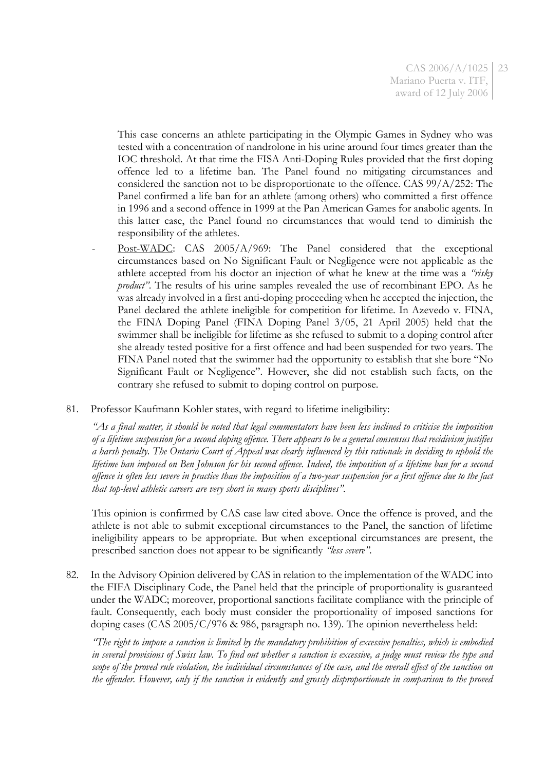CAS 2006/A/1025 Mariano Puerta v. ITF, award of 12 July 2006 23

This case concerns an athlete participating in the Olympic Games in Sydney who was tested with a concentration of nandrolone in his urine around four times greater than the IOC threshold. At that time the FISA Anti-Doping Rules provided that the first doping offence led to a lifetime ban. The Panel found no mitigating circumstances and considered the sanction not to be disproportionate to the offence. CAS  $99/A/252$ : The Panel confirmed a life ban for an athlete (among others) who committed a first offence in 1996 and a second offence in 1999 at the Pan American Games for anabolic agents. In this latter case, the Panel found no circumstances that would tend to diminish the responsibility of the athletes.

- Post-WADC: CAS 2005/A/969: The Panel considered that the exceptional circumstances based on No Significant Fault or Negligence were not applicable as the athlete accepted from his doctor an injection of what he knew at the time was a *"risky product*<sup>"</sup>. The results of his urine samples revealed the use of recombinant EPO. As he was already involved in a first anti-doping proceeding when he accepted the injection, the Panel declared the athlete ineligible for competition for lifetime. In Azevedo v. FINA, the FINA Doping Panel (FINA Doping Panel 3/05, 21 April 2005) held that the swimmer shall be ineligible for lifetime as she refused to submit to a doping control after she already tested positive for a first offence and had been suspended for two years. The FINA Panel noted that the swimmer had the opportunity to establish that she bore "No Significant Fault or Negligence". However, she did not establish such facts, on the contrary she refused to submit to doping control on purpose.
- 81. Professor Kaufmann Kohler states, with regard to lifetime ineligibility:

*"As a final matter, it should be noted that legal commentators have been less inclined to criticise the imposition of a lifetime suspension for a second doping offence. There appears to be a general consensus that recidivism justifies a harsh penalty. The Ontario Court of Appeal was clearly influenced by this rationale in deciding to uphold the lifetime ban imposed on Ben Johnson for his second offence. Indeed, the imposition of a lifetime ban for a second offence is often less severe in practice than the imposition of a two-year suspension for a first offence due to the fact that top-level athletic careers are very short in many sports disciplines".*

This opinion is confirmed by CAS case law cited above. Once the offence is proved, and the athlete is not able to submit exceptional circumstances to the Panel, the sanction of lifetime ineligibility appears to be appropriate. But when exceptional circumstances are present, the prescribed sanction does not appear to be significantly *"less severe"*.

82. In the Advisory Opinion delivered by CAS in relation to the implementation of the WADC into the FIFA Disciplinary Code, the Panel held that the principle of proportionality is guaranteed under the WADC; moreover, proportional sanctions facilitate compliance with the principle of fault. Consequently, each body must consider the proportionality of imposed sanctions for doping cases (CAS 2005/C/976 & 986, paragraph no. 139). The opinion nevertheless held:

*"The right to impose a sanction is limited by the mandatory prohibition of excessive penalties, which is embodied in several provisions of Swiss law. To find out whether a sanction is excessive, a judge must review the type and scope of the proved rule violation, the individual circumstances of the case, and the overall effect of the sanction on the offender. However, only if the sanction is evidently and grossly disproportionate in comparison to the proved*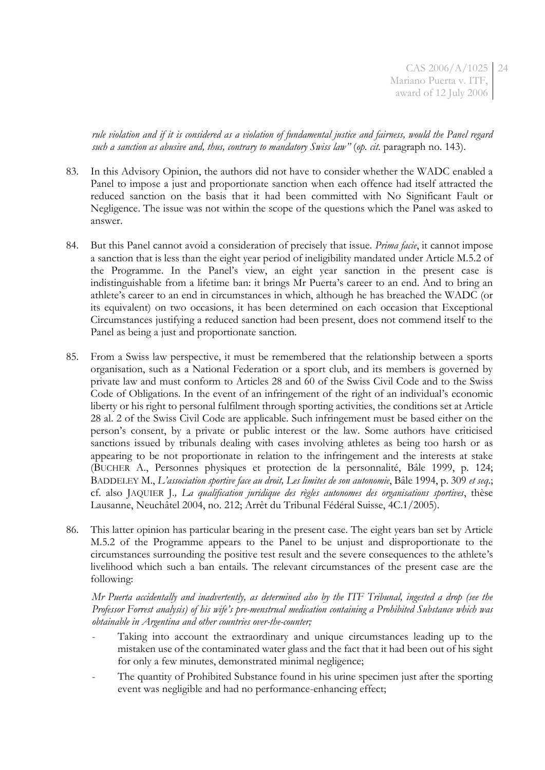CAS 2006/A/1025 24 Mariano Puerta v. ITF, award of 12 July 2006

*rule violation and if it is considered as a violation of fundamental justice and fairness, would the Panel regard such a sanction as abusive and, thus, contrary to mandatory Swiss law"* (*op. cit*. paragraph no. 143).

- 83. In this Advisory Opinion, the authors did not have to consider whether the WADC enabled a Panel to impose a just and proportionate sanction when each offence had itself attracted the reduced sanction on the basis that it had been committed with No Significant Fault or Negligence. The issue was not within the scope of the questions which the Panel was asked to answer.
- 84. But this Panel cannot avoid a consideration of precisely that issue. *Prima facie*, it cannot impose a sanction that is less than the eight year period of ineligibility mandated under Article M.5.2 of the Programme. In the Panel's view, an eight year sanction in the present case is indistinguishable from a lifetime ban: it brings Mr Puerta's career to an end. And to bring an athlete's career to an end in circumstances in which, although he has breached the WADC (or its equivalent) on two occasions, it has been determined on each occasion that Exceptional Circumstances justifying a reduced sanction had been present, does not commend itself to the Panel as being a just and proportionate sanction.
- 85. From a Swiss law perspective, it must be remembered that the relationship between a sports organisation, such as a National Federation or a sport club, and its members is governed by private law and must conform to Articles 28 and 60 of the Swiss Civil Code and to the Swiss Code of Obligations. In the event of an infringement of the right of an individual's economic liberty or his right to personal fulfilment through sporting activities, the conditions set at Article 28 al. 2 of the Swiss Civil Code are applicable. Such infringement must be based either on the person's consent, by a private or public interest or the law. Some authors have criticised sanctions issued by tribunals dealing with cases involving athletes as being too harsh or as appearing to be not proportionate in relation to the infringement and the interests at stake (BUCHER A., Personnes physiques et protection de la personnalité, Bâle 1999, p. 124; BADDELEY M., *L'association sportive face au droit, Les limites de son autonomie*, Bâle 1994, p. 309 *et seq*.; cf. also JAQUIER J.*, La qualification juridique des règles autonomes des organisations sportives*, thèse Lausanne, Neuchâtel 2004, no. 212; Arrêt du Tribunal Fédéral Suisse, 4C.1/2005).
- 86. This latter opinion has particular bearing in the present case. The eight years ban set by Article M.5.2 of the Programme appears to the Panel to be unjust and disproportionate to the circumstances surrounding the positive test result and the severe consequences to the athlete's livelihood which such a ban entails. The relevant circumstances of the present case are the following:

*Mr Puerta accidentally and inadvertently, as determined also by the ITF Tribunal, ingested a drop (see the Professor Forrest analysis) of his wife's pre-menstrual medication containing a Prohibited Substance which was obtainable in Argentina and other countries over-the-counter;*

- Taking into account the extraordinary and unique circumstances leading up to the mistaken use of the contaminated water glass and the fact that it had been out of his sight for only a few minutes, demonstrated minimal negligence;
- The quantity of Prohibited Substance found in his urine specimen just after the sporting event was negligible and had no performance-enhancing effect;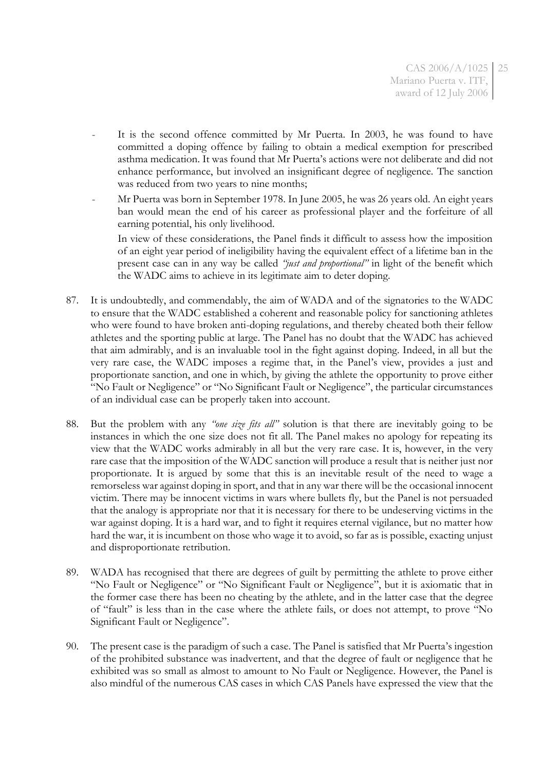- It is the second offence committed by Mr Puerta. In 2003, he was found to have committed a doping offence by failing to obtain a medical exemption for prescribed asthma medication. It was found that Mr Puerta's actions were not deliberate and did not enhance performance, but involved an insignificant degree of negligence. The sanction was reduced from two years to nine months;
- Mr Puerta was born in September 1978. In June 2005, he was 26 years old. An eight years ban would mean the end of his career as professional player and the forfeiture of all earning potential, his only livelihood.

In view of these considerations, the Panel finds it difficult to assess how the imposition of an eight year period of ineligibility having the equivalent effect of a lifetime ban in the present case can in any way be called *"just and proportional"* in light of the benefit which the WADC aims to achieve in its legitimate aim to deter doping.

- 87. It is undoubtedly, and commendably, the aim of WADA and of the signatories to the WADC to ensure that the WADC established a coherent and reasonable policy for sanctioning athletes who were found to have broken anti-doping regulations, and thereby cheated both their fellow athletes and the sporting public at large. The Panel has no doubt that the WADC has achieved that aim admirably, and is an invaluable tool in the fight against doping. Indeed, in all but the very rare case, the WADC imposes a regime that, in the Panel's view, provides a just and proportionate sanction, and one in which, by giving the athlete the opportunity to prove either "No Fault or Negligence" or "No Significant Fault or Negligence", the particular circumstances of an individual case can be properly taken into account.
- 88. But the problem with any *"one size fits all"* solution is that there are inevitably going to be instances in which the one size does not fit all. The Panel makes no apology for repeating its view that the WADC works admirably in all but the very rare case. It is, however, in the very rare case that the imposition of the WADC sanction will produce a result that is neither just nor proportionate. It is argued by some that this is an inevitable result of the need to wage a remorseless war against doping in sport, and that in any war there will be the occasional innocent victim. There may be innocent victims in wars where bullets fly, but the Panel is not persuaded that the analogy is appropriate nor that it is necessary for there to be undeserving victims in the war against doping. It is a hard war, and to fight it requires eternal vigilance, but no matter how hard the war, it is incumbent on those who wage it to avoid, so far as is possible, exacting unjust and disproportionate retribution.
- 89. WADA has recognised that there are degrees of guilt by permitting the athlete to prove either "No Fault or Negligence" or "No Significant Fault or Negligence", but it is axiomatic that in the former case there has been no cheating by the athlete, and in the latter case that the degree of "fault" is less than in the case where the athlete fails, or does not attempt, to prove "No Significant Fault or Negligence".
- 90. The present case is the paradigm of such a case. The Panel is satisfied that Mr Puerta's ingestion of the prohibited substance was inadvertent, and that the degree of fault or negligence that he exhibited was so small as almost to amount to No Fault or Negligence. However, the Panel is also mindful of the numerous CAS cases in which CAS Panels have expressed the view that the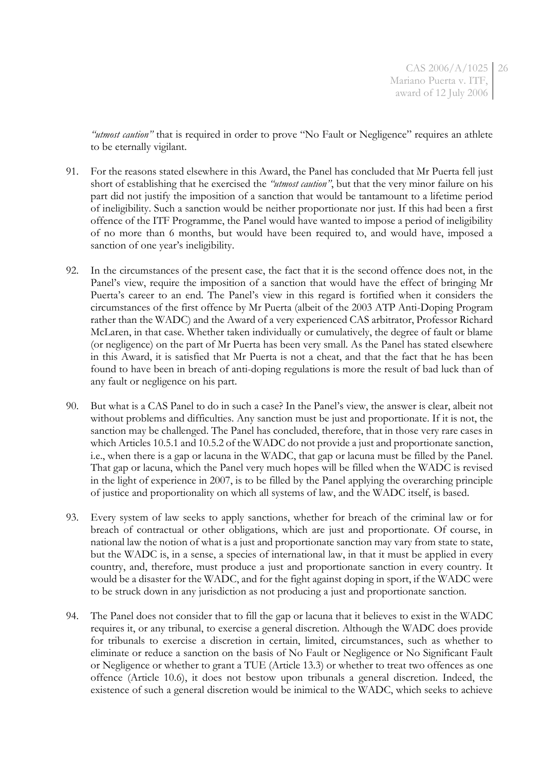*"utmost caution"* that is required in order to prove "No Fault or Negligence" requires an athlete to be eternally vigilant.

- 91. For the reasons stated elsewhere in this Award, the Panel has concluded that Mr Puerta fell just short of establishing that he exercised the *"utmost caution"*, but that the very minor failure on his part did not justify the imposition of a sanction that would be tantamount to a lifetime period of ineligibility. Such a sanction would be neither proportionate nor just. If this had been a first offence of the ITF Programme, the Panel would have wanted to impose a period of ineligibility of no more than 6 months, but would have been required to, and would have, imposed a sanction of one year's ineligibility.
- 92. In the circumstances of the present case, the fact that it is the second offence does not, in the Panel's view, require the imposition of a sanction that would have the effect of bringing Mr Puerta's career to an end. The Panel's view in this regard is fortified when it considers the circumstances of the first offence by Mr Puerta (albeit of the 2003 ATP Anti-Doping Program rather than the WADC) and the Award of a very experienced CAS arbitrator, Professor Richard McLaren, in that case. Whether taken individually or cumulatively, the degree of fault or blame (or negligence) on the part of Mr Puerta has been very small. As the Panel has stated elsewhere in this Award, it is satisfied that Mr Puerta is not a cheat, and that the fact that he has been found to have been in breach of anti-doping regulations is more the result of bad luck than of any fault or negligence on his part.
- 90. But what is a CAS Panel to do in such a case? In the Panel's view, the answer is clear, albeit not without problems and difficulties. Any sanction must be just and proportionate. If it is not, the sanction may be challenged. The Panel has concluded, therefore, that in those very rare cases in which Articles 10.5.1 and 10.5.2 of the WADC do not provide a just and proportionate sanction, i.e., when there is a gap or lacuna in the WADC, that gap or lacuna must be filled by the Panel. That gap or lacuna, which the Panel very much hopes will be filled when the WADC is revised in the light of experience in 2007, is to be filled by the Panel applying the overarching principle of justice and proportionality on which all systems of law, and the WADC itself, is based.
- 93. Every system of law seeks to apply sanctions, whether for breach of the criminal law or for breach of contractual or other obligations, which are just and proportionate. Of course, in national law the notion of what is a just and proportionate sanction may vary from state to state, but the WADC is, in a sense, a species of international law, in that it must be applied in every country, and, therefore, must produce a just and proportionate sanction in every country. It would be a disaster for the WADC, and for the fight against doping in sport, if the WADC were to be struck down in any jurisdiction as not producing a just and proportionate sanction.
- 94. The Panel does not consider that to fill the gap or lacuna that it believes to exist in the WADC requires it, or any tribunal, to exercise a general discretion. Although the WADC does provide for tribunals to exercise a discretion in certain, limited, circumstances, such as whether to eliminate or reduce a sanction on the basis of No Fault or Negligence or No Significant Fault or Negligence or whether to grant a TUE (Article 13.3) or whether to treat two offences as one offence (Article 10.6), it does not bestow upon tribunals a general discretion. Indeed, the existence of such a general discretion would be inimical to the WADC, which seeks to achieve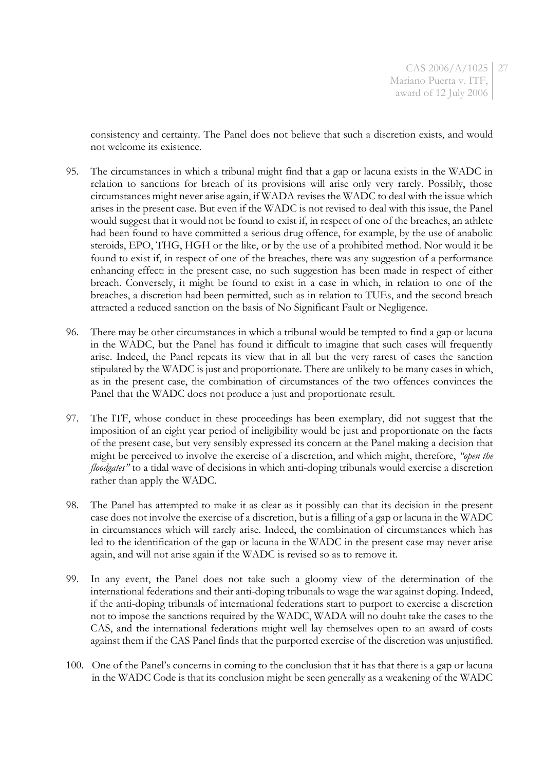consistency and certainty. The Panel does not believe that such a discretion exists, and would not welcome its existence.

- 95. The circumstances in which a tribunal might find that a gap or lacuna exists in the WADC in relation to sanctions for breach of its provisions will arise only very rarely. Possibly, those circumstances might never arise again, if WADA revises the WADC to deal with the issue which arises in the present case. But even if the WADC is not revised to deal with this issue, the Panel would suggest that it would not be found to exist if, in respect of one of the breaches, an athlete had been found to have committed a serious drug offence, for example, by the use of anabolic steroids, EPO, THG, HGH or the like, or by the use of a prohibited method. Nor would it be found to exist if, in respect of one of the breaches, there was any suggestion of a performance enhancing effect: in the present case, no such suggestion has been made in respect of either breach. Conversely, it might be found to exist in a case in which, in relation to one of the breaches, a discretion had been permitted, such as in relation to TUEs, and the second breach attracted a reduced sanction on the basis of No Significant Fault or Negligence.
- 96. There may be other circumstances in which a tribunal would be tempted to find a gap or lacuna in the WADC, but the Panel has found it difficult to imagine that such cases will frequently arise. Indeed, the Panel repeats its view that in all but the very rarest of cases the sanction stipulated by the WADC is just and proportionate. There are unlikely to be many cases in which, as in the present case, the combination of circumstances of the two offences convinces the Panel that the WADC does not produce a just and proportionate result.
- 97. The ITF, whose conduct in these proceedings has been exemplary, did not suggest that the imposition of an eight year period of ineligibility would be just and proportionate on the facts of the present case, but very sensibly expressed its concern at the Panel making a decision that might be perceived to involve the exercise of a discretion, and which might, therefore, *"open the floodgates"* to a tidal wave of decisions in which anti-doping tribunals would exercise a discretion rather than apply the WADC.
- 98. The Panel has attempted to make it as clear as it possibly can that its decision in the present case does not involve the exercise of a discretion, but is a filling of a gap or lacuna in the WADC in circumstances which will rarely arise. Indeed, the combination of circumstances which has led to the identification of the gap or lacuna in the WADC in the present case may never arise again, and will not arise again if the WADC is revised so as to remove it.
- 99. In any event, the Panel does not take such a gloomy view of the determination of the international federations and their anti-doping tribunals to wage the war against doping. Indeed, if the anti-doping tribunals of international federations start to purport to exercise a discretion not to impose the sanctions required by the WADC, WADA will no doubt take the cases to the CAS, and the international federations might well lay themselves open to an award of costs against them if the CAS Panel finds that the purported exercise of the discretion was unjustified.
- 100. One of the Panel's concerns in coming to the conclusion that it has that there is a gap or lacuna in the WADC Code is that its conclusion might be seen generally as a weakening of the WADC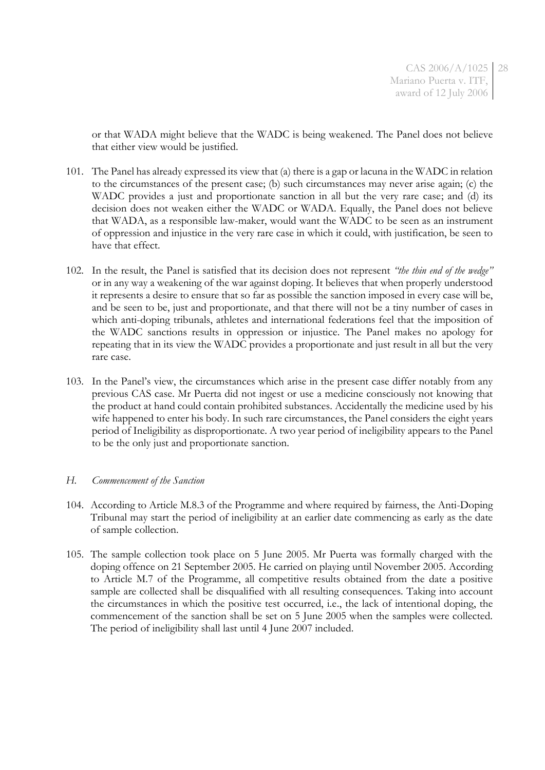or that WADA might believe that the WADC is being weakened. The Panel does not believe that either view would be justified.

- 101. The Panel has already expressed its view that (a) there is a gap or lacuna in the WADC in relation to the circumstances of the present case; (b) such circumstances may never arise again; (c) the WADC provides a just and proportionate sanction in all but the very rare case; and (d) its decision does not weaken either the WADC or WADA. Equally, the Panel does not believe that WADA, as a responsible law-maker, would want the WADC to be seen as an instrument of oppression and injustice in the very rare case in which it could, with justification, be seen to have that effect.
- 102. In the result, the Panel is satisfied that its decision does not represent *"the thin end of the wedge"* or in any way a weakening of the war against doping. It believes that when properly understood it represents a desire to ensure that so far as possible the sanction imposed in every case will be, and be seen to be, just and proportionate, and that there will not be a tiny number of cases in which anti-doping tribunals, athletes and international federations feel that the imposition of the WADC sanctions results in oppression or injustice. The Panel makes no apology for repeating that in its view the WADC provides a proportionate and just result in all but the very rare case.
- 103. In the Panel's view, the circumstances which arise in the present case differ notably from any previous CAS case. Mr Puerta did not ingest or use a medicine consciously not knowing that the product at hand could contain prohibited substances. Accidentally the medicine used by his wife happened to enter his body. In such rare circumstances, the Panel considers the eight years period of Ineligibility as disproportionate. A two year period of ineligibility appears to the Panel to be the only just and proportionate sanction.

#### *H. Commencement of the Sanction*

- 104. According to Article M.8.3 of the Programme and where required by fairness, the Anti-Doping Tribunal may start the period of ineligibility at an earlier date commencing as early as the date of sample collection.
- 105. The sample collection took place on 5 June 2005. Mr Puerta was formally charged with the doping offence on 21 September 2005. He carried on playing until November 2005. According to Article M.7 of the Programme, all competitive results obtained from the date a positive sample are collected shall be disqualified with all resulting consequences. Taking into account the circumstances in which the positive test occurred, i.e., the lack of intentional doping, the commencement of the sanction shall be set on 5 June 2005 when the samples were collected. The period of ineligibility shall last until 4 June 2007 included.